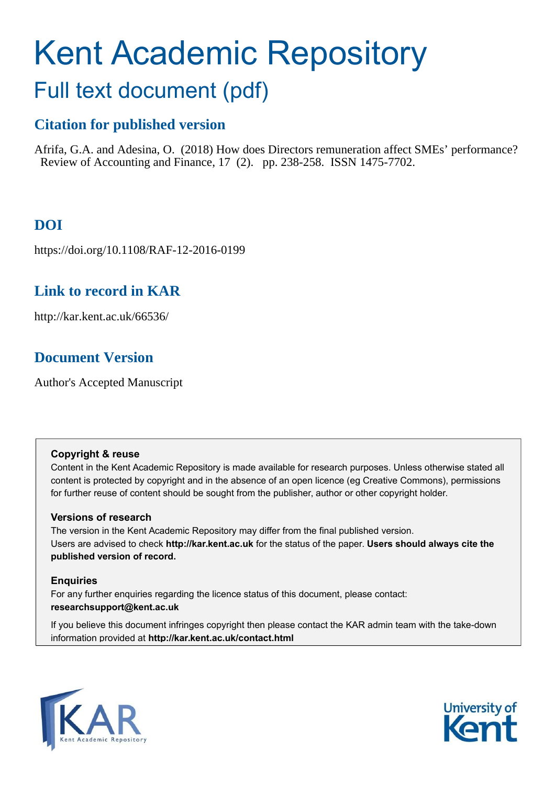# Kent Academic Repository

# Full text document (pdf)

# **Citation for published version**

Afrifa, G.A. and Adesina, O. (2018) How does Directors remuneration affect SMEs' performance? Review of Accounting and Finance, 17 (2). pp. 238-258. ISSN 1475-7702.

# **DOI**

https://doi.org/10.1108/RAF-12-2016-0199

# **Link to record in KAR**

http://kar.kent.ac.uk/66536/

# **Document Version**

Author's Accepted Manuscript

# **Copyright & reuse**

Content in the Kent Academic Repository is made available for research purposes. Unless otherwise stated all content is protected by copyright and in the absence of an open licence (eg Creative Commons), permissions for further reuse of content should be sought from the publisher, author or other copyright holder.

# **Versions of research**

The version in the Kent Academic Repository may differ from the final published version. Users are advised to check **http://kar.kent.ac.uk** for the status of the paper. **Users should always cite the published version of record.**

# **Enquiries**

For any further enquiries regarding the licence status of this document, please contact: **researchsupport@kent.ac.uk**

If you believe this document infringes copyright then please contact the KAR admin team with the take-down information provided at **http://kar.kent.ac.uk/contact.html**



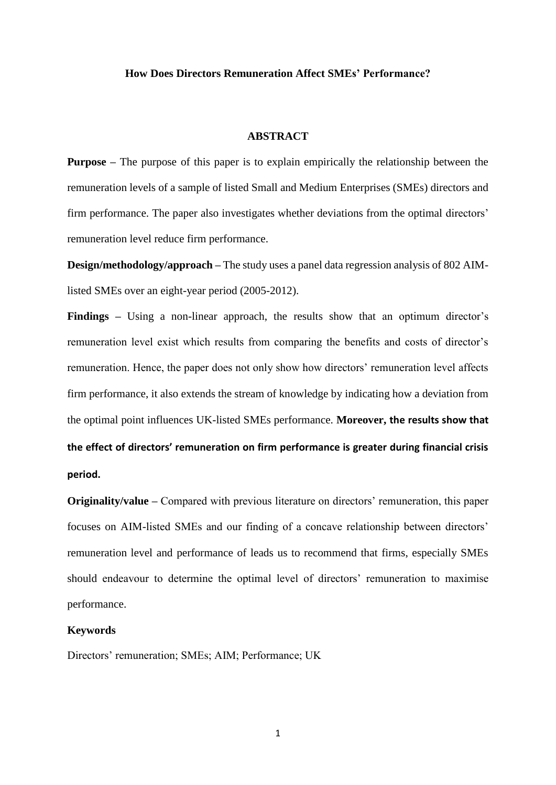#### **How Does Directors Remuneration Affect SMEs' Performance?**

#### **ABSTRACT**

**Purpose** – The purpose of this paper is to explain empirically the relationship between the remuneration levels of a sample of listed Small and Medium Enterprises (SMEs) directors and firm performance. The paper also investigates whether deviations from the optimal directors' remuneration level reduce firm performance.

**Design/methodology/approach –** The study uses a panel data regression analysis of 802 AIMlisted SMEs over an eight-year period (2005-2012).

**Findings** – Using a non-linear approach, the results show that an optimum director's remuneration level exist which results from comparing the benefits and costs of director's remuneration. Hence, the paper does not only show how directors' remuneration level affects firm performance, it also extends the stream of knowledge by indicating how a deviation from the optimal point influences UK-listed SMEs performance. **Moreover, the results show that**  the effect of directors' remuneration on firm performance is greater during financial crisis **period.**

**Originality/value** – Compared with previous literature on directors' remuneration, this paper focuses on AIM-listed SMEs and our finding of a concave relationship between directors' remuneration level and performance of leads us to recommend that firms, especially SMEs should endeavour to determine the optimal level of directors' remuneration to maximise performance.

#### **Keywords**

Directors' remuneration; SMEs; AIM; Performance; UK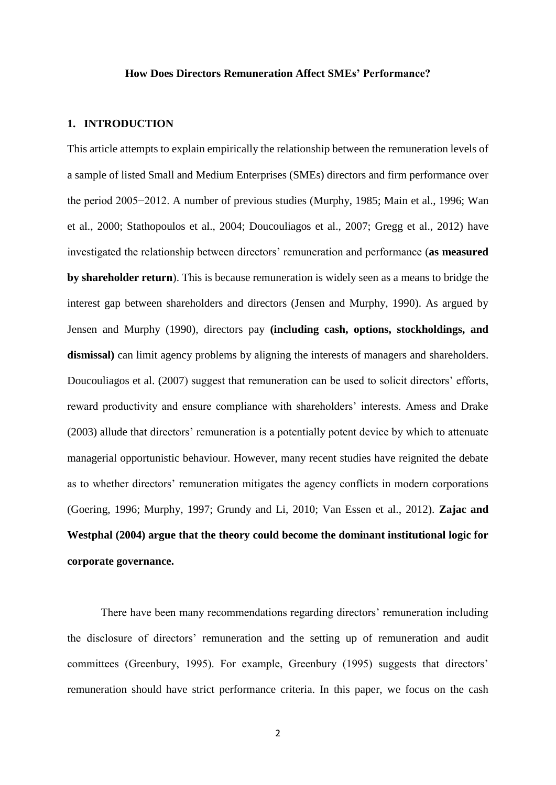#### **How Does Directors Remuneration Affect SMEs' Performance?**

#### **1. INTRODUCTION**

This article attempts to explain empirically the relationship between the remuneration levels of a sample of listed Small and Medium Enterprises (SMEs) directors and firm performance over the period 2005−2012. A number of previous studies (Murphy, 1985; Main et al., 1996; Wan et al., 2000; Stathopoulos et al., 2004; Doucouliagos et al., 2007; Gregg et al., 2012) have investigated the relationship between directors' remuneration and performance (**as measured by shareholder return**). This is because remuneration is widely seen as a means to bridge the interest gap between shareholders and directors (Jensen and Murphy, 1990). As argued by Jensen and Murphy (1990), directors pay **(including cash, options, stockholdings, and**  dismissal) can limit agency problems by aligning the interests of managers and shareholders. Doucouliagos et al. (2007) suggest that remuneration can be used to solicit directors' efforts, reward productivity and ensure compliance with shareholders' interests. Amess and Drake (2003) allude that directors' remuneration is a potentially potent device by which to attenuate managerial opportunistic behaviour. However, many recent studies have reignited the debate as to whether directors' remuneration mitigates the agency conflicts in modern corporations (Goering, 1996; Murphy, 1997; Grundy and Li, 2010; Van Essen et al., 2012). **Zajac and Westphal (2004) argue that the theory could become the dominant institutional logic for corporate governance.**

There have been many recommendations regarding directors' remuneration including the disclosure of directors' remuneration and the setting up of remuneration and audit committees (Greenbury, 1995). For example, Greenbury (1995) suggests that directors' remuneration should have strict performance criteria. In this paper, we focus on the cash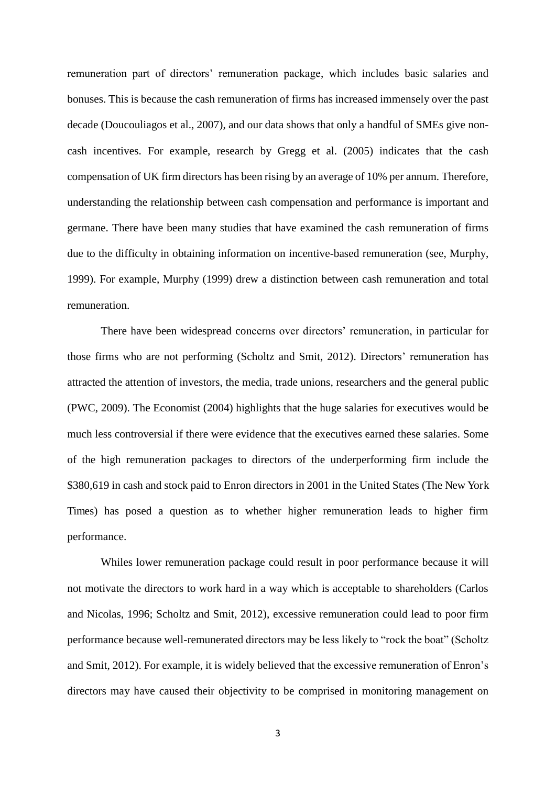remuneration part of directors' remuneration package, which includes basic salaries and bonuses. This is because the cash remuneration of firms has increased immensely over the past decade (Doucouliagos et al., 2007), and our data shows that only a handful of SMEs give noncash incentives. For example, research by Gregg et al. (2005) indicates that the cash compensation of UK firm directors has been rising by an average of 10% per annum. Therefore, understanding the relationship between cash compensation and performance is important and germane. There have been many studies that have examined the cash remuneration of firms due to the difficulty in obtaining information on incentive-based remuneration (see, Murphy, 1999). For example, Murphy (1999) drew a distinction between cash remuneration and total remuneration.

 There have been widespread concerns over directors' remuneration, in particular for those firms who are not performing (Scholtz and Smit, 2012). Directors' remuneration has attracted the attention of investors, the media, trade unions, researchers and the general public (PWC, 2009). The Economist (2004) highlights that the huge salaries for executives would be much less controversial if there were evidence that the executives earned these salaries. Some of the high remuneration packages to directors of the underperforming firm include the \$380,619 in cash and stock paid to Enron directors in 2001 in the United States (The New York Times) has posed a question as to whether higher remuneration leads to higher firm performance.

 Whiles lower remuneration package could result in poor performance because it will not motivate the directors to work hard in a way which is acceptable to shareholders (Carlos and Nicolas, 1996; Scholtz and Smit, 2012), excessive remuneration could lead to poor firm performance because well-remunerated directors may be less likely to "rock the boat" (Scholtz and Smit, 2012). For example, it is widely believed that the excessive remuneration of Enron's directors may have caused their objectivity to be comprised in monitoring management on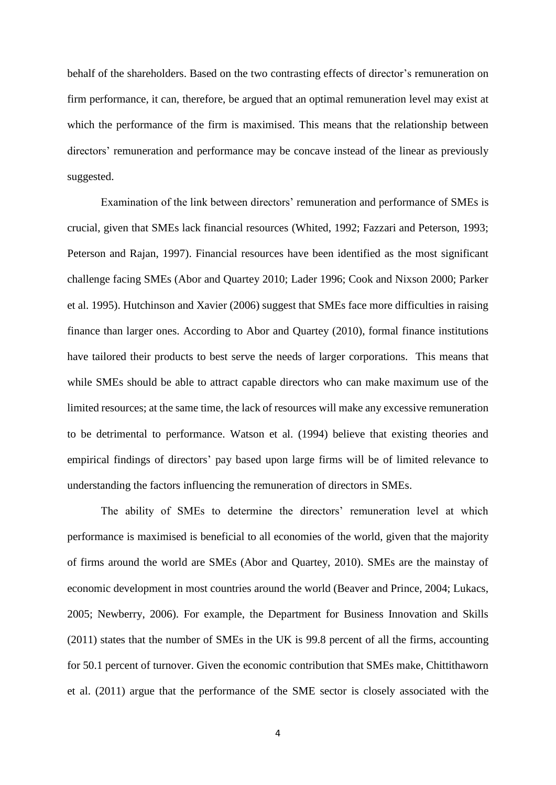behalf of the shareholders. Based on the two contrasting effects of director's remuneration on firm performance, it can, therefore, be argued that an optimal remuneration level may exist at which the performance of the firm is maximised. This means that the relationship between directors' remuneration and performance may be concave instead of the linear as previously suggested.

Examination of the link between directors' remuneration and performance of SMEs is crucial, given that SMEs lack financial resources (Whited, 1992; Fazzari and Peterson, 1993; Peterson and Rajan, 1997). Financial resources have been identified as the most significant challenge facing SMEs (Abor and Quartey 2010; Lader 1996; Cook and Nixson 2000; Parker et al. 1995). Hutchinson and Xavier (2006) suggest that SMEs face more difficulties in raising finance than larger ones. According to Abor and Quartey (2010), formal finance institutions have tailored their products to best serve the needs of larger corporations. This means that while SMEs should be able to attract capable directors who can make maximum use of the limited resources; at the same time, the lack of resources will make any excessive remuneration to be detrimental to performance. Watson et al. (1994) believe that existing theories and empirical findings of directors' pay based upon large firms will be of limited relevance to understanding the factors influencing the remuneration of directors in SMEs.

The ability of SMEs to determine the directors' remuneration level at which performance is maximised is beneficial to all economies of the world, given that the majority of firms around the world are SMEs (Abor and Quartey, 2010). SMEs are the mainstay of economic development in most countries around the world (Beaver and Prince, 2004; Lukacs, 2005; Newberry, 2006). For example, the Department for Business Innovation and Skills (2011) states that the number of SMEs in the UK is 99.8 percent of all the firms, accounting for 50.1 percent of turnover. Given the economic contribution that SMEs make, Chittithaworn et al. (2011) argue that the performance of the SME sector is closely associated with the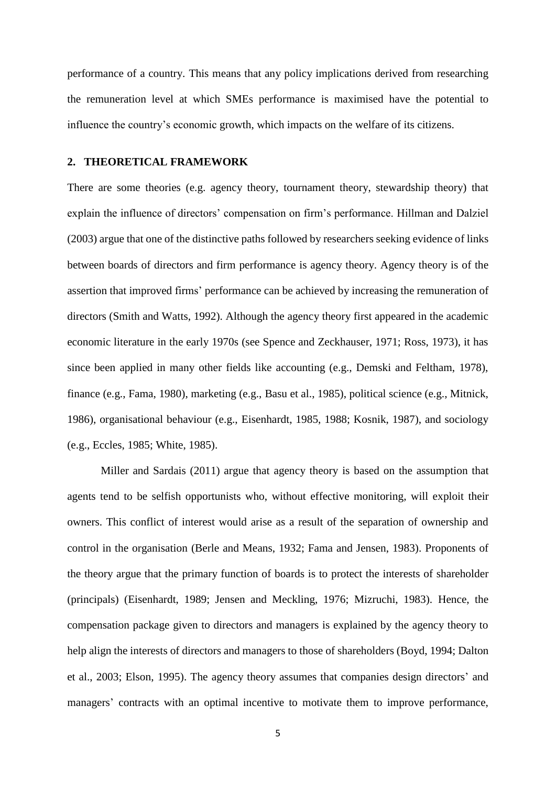performance of a country. This means that any policy implications derived from researching the remuneration level at which SMEs performance is maximised have the potential to influence the country's economic growth, which impacts on the welfare of its citizens.

#### **2. THEORETICAL FRAMEWORK**

There are some theories (e.g. agency theory, tournament theory, stewardship theory) that explain the influence of directors' compensation on firm's performance. Hillman and Dalziel (2003) argue that one of the distinctive paths followed by researchers seeking evidence of links between boards of directors and firm performance is agency theory. Agency theory is of the assertion that improved firms' performance can be achieved by increasing the remuneration of directors (Smith and Watts, 1992). Although the agency theory first appeared in the academic economic literature in the early 1970s (see Spence and Zeckhauser, 1971; Ross, 1973), it has since been applied in many other fields like accounting (e.g., Demski and Feltham, 1978), finance (e.g., Fama, 1980), marketing (e.g., Basu et al., 1985), political science (e.g., Mitnick, 1986), organisational behaviour (e.g., Eisenhardt, 1985, 1988; Kosnik, 1987), and sociology (e.g., Eccles, 1985; White, 1985).

Miller and Sardais (2011) argue that agency theory is based on the assumption that agents tend to be selfish opportunists who, without effective monitoring, will exploit their owners. This conflict of interest would arise as a result of the separation of ownership and control in the organisation (Berle and Means, 1932; Fama and Jensen, 1983). Proponents of the theory argue that the primary function of boards is to protect the interests of shareholder (principals) (Eisenhardt, 1989; Jensen and Meckling, 1976; Mizruchi, 1983). Hence, the compensation package given to directors and managers is explained by the agency theory to help align the interests of directors and managers to those of shareholders (Boyd, 1994; Dalton et al., 2003; Elson, 1995). The agency theory assumes that companies design directors' and managers' contracts with an optimal incentive to motivate them to improve performance,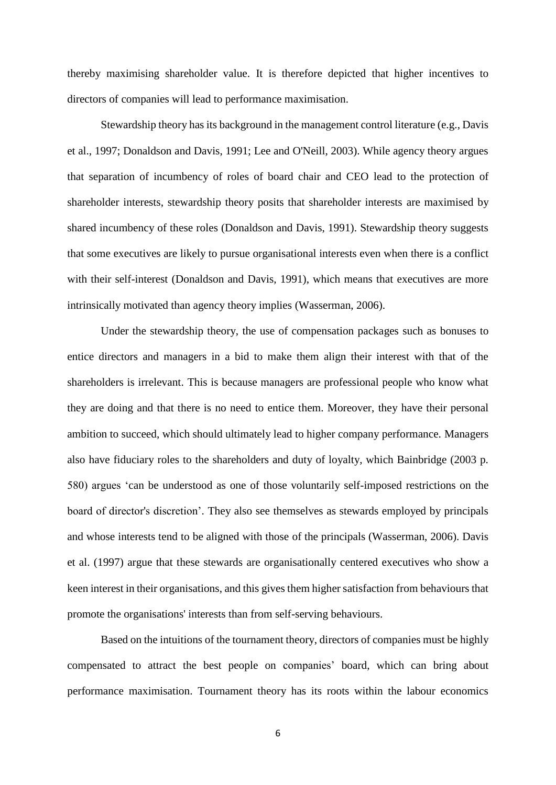thereby maximising shareholder value. It is therefore depicted that higher incentives to directors of companies will lead to performance maximisation.

Stewardship theory has its background in the management control literature (e.g., Davis et al., 1997; Donaldson and Davis, 1991; Lee and O'Neill, 2003). While agency theory argues that separation of incumbency of roles of board chair and CEO lead to the protection of shareholder interests, stewardship theory posits that shareholder interests are maximised by shared incumbency of these roles (Donaldson and Davis, 1991). Stewardship theory suggests that some executives are likely to pursue organisational interests even when there is a conflict with their self-interest (Donaldson and Davis, 1991), which means that executives are more intrinsically motivated than agency theory implies (Wasserman, 2006).

Under the stewardship theory, the use of compensation packages such as bonuses to entice directors and managers in a bid to make them align their interest with that of the shareholders is irrelevant. This is because managers are professional people who know what they are doing and that there is no need to entice them. Moreover, they have their personal ambition to succeed, which should ultimately lead to higher company performance. Managers also have fiduciary roles to the shareholders and duty of loyalty, which Bainbridge (2003 p. 580) argues 'can be understood as one of those voluntarily self-imposed restrictions on the board of director's discretion'. They also see themselves as stewards employed by principals and whose interests tend to be aligned with those of the principals (Wasserman, 2006). Davis et al. (1997) argue that these stewards are organisationally centered executives who show a keen interest in their organisations, and this gives them higher satisfaction from behaviours that promote the organisations' interests than from self-serving behaviours.

Based on the intuitions of the tournament theory, directors of companies must be highly compensated to attract the best people on companies' board, which can bring about performance maximisation. Tournament theory has its roots within the labour economics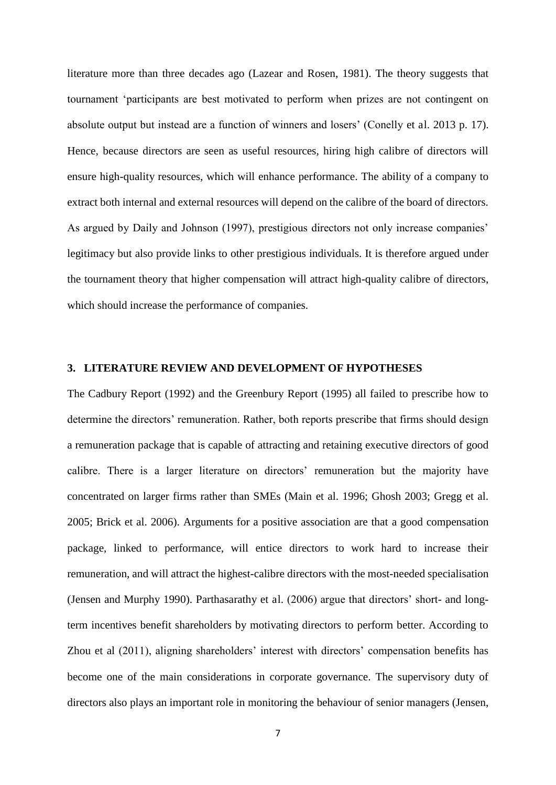literature more than three decades ago (Lazear and Rosen, 1981). The theory suggests that tournament 'participants are best motivated to perform when prizes are not contingent on absolute output but instead are a function of winners and losers' (Conelly et al. 2013 p. 17). Hence, because directors are seen as useful resources, hiring high calibre of directors will ensure high-quality resources, which will enhance performance. The ability of a company to extract both internal and external resources will depend on the calibre of the board of directors. As argued by Daily and Johnson (1997), prestigious directors not only increase companies' legitimacy but also provide links to other prestigious individuals. It is therefore argued under the tournament theory that higher compensation will attract high-quality calibre of directors, which should increase the performance of companies.

## **3. LITERATURE REVIEW AND DEVELOPMENT OF HYPOTHESES**

The Cadbury Report (1992) and the Greenbury Report (1995) all failed to prescribe how to determine the directors' remuneration. Rather, both reports prescribe that firms should design a remuneration package that is capable of attracting and retaining executive directors of good calibre. There is a larger literature on directors' remuneration but the majority have concentrated on larger firms rather than SMEs (Main et al. 1996; Ghosh 2003; Gregg et al. 2005; Brick et al. 2006). Arguments for a positive association are that a good compensation package, linked to performance, will entice directors to work hard to increase their remuneration, and will attract the highest-calibre directors with the most-needed specialisation (Jensen and Murphy 1990). Parthasarathy et al. (2006) argue that directors' short- and longterm incentives benefit shareholders by motivating directors to perform better. According to Zhou et al (2011), aligning shareholders' interest with directors' compensation benefits has become one of the main considerations in corporate governance. The supervisory duty of directors also plays an important role in monitoring the behaviour of senior managers (Jensen,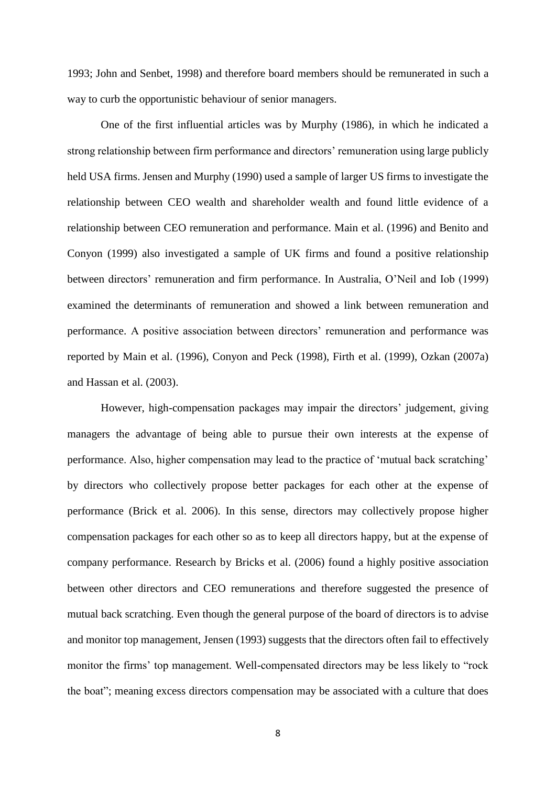1993; John and Senbet, 1998) and therefore board members should be remunerated in such a way to curb the opportunistic behaviour of senior managers.

 One of the first influential articles was by Murphy (1986), in which he indicated a strong relationship between firm performance and directors' remuneration using large publicly held USA firms. Jensen and Murphy (1990) used a sample of larger US firms to investigate the relationship between CEO wealth and shareholder wealth and found little evidence of a relationship between CEO remuneration and performance. Main et al. (1996) and Benito and Conyon (1999) also investigated a sample of UK firms and found a positive relationship between directors' remuneration and firm performance. In Australia, O'Neil and Iob (1999) examined the determinants of remuneration and showed a link between remuneration and performance. A positive association between directors' remuneration and performance was reported by Main et al. (1996), Conyon and Peck (1998), Firth et al. (1999), Ozkan (2007a) and Hassan et al. (2003).

 However, high-compensation packages may impair the directors' judgement, giving managers the advantage of being able to pursue their own interests at the expense of performance. Also, higher compensation may lead to the practice of 'mutual back scratching' by directors who collectively propose better packages for each other at the expense of performance (Brick et al. 2006). In this sense, directors may collectively propose higher compensation packages for each other so as to keep all directors happy, but at the expense of company performance. Research by Bricks et al. (2006) found a highly positive association between other directors and CEO remunerations and therefore suggested the presence of mutual back scratching. Even though the general purpose of the board of directors is to advise and monitor top management, Jensen (1993) suggests that the directors often fail to effectively monitor the firms' top management. Well-compensated directors may be less likely to "rock the boat"; meaning excess directors compensation may be associated with a culture that does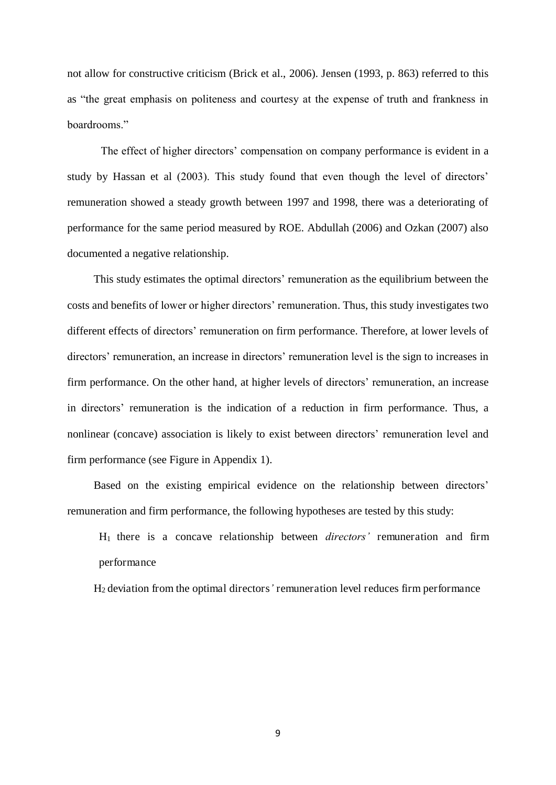not allow for constructive criticism (Brick et al., 2006). Jensen (1993, p. 863) referred to this as "the great emphasis on politeness and courtesy at the expense of truth and frankness in boardrooms."

 The effect of higher directors' compensation on company performance is evident in a study by Hassan et al (2003). This study found that even though the level of directors' remuneration showed a steady growth between 1997 and 1998, there was a deteriorating of performance for the same period measured by ROE. Abdullah (2006) and Ozkan (2007) also documented a negative relationship.

 This study estimates the optimal directors' remuneration as the equilibrium between the costs and benefits of lower or higher directors' remuneration. Thus, this study investigates two different effects of directors' remuneration on firm performance. Therefore, at lower levels of directors' remuneration, an increase in directors' remuneration level is the sign to increases in firm performance. On the other hand, at higher levels of directors' remuneration, an increase in directors' remuneration is the indication of a reduction in firm performance. Thus, a nonlinear (concave) association is likely to exist between directors' remuneration level and firm performance (see Figure in Appendix 1).

 Based on the existing empirical evidence on the relationship between directors' remuneration and firm performance, the following hypotheses are tested by this study:

 H1 there is a concave relationship between *directors'* remuneration and firm performance

H2 deviation from the optimal directors*'* remuneration level reduces firm performance

9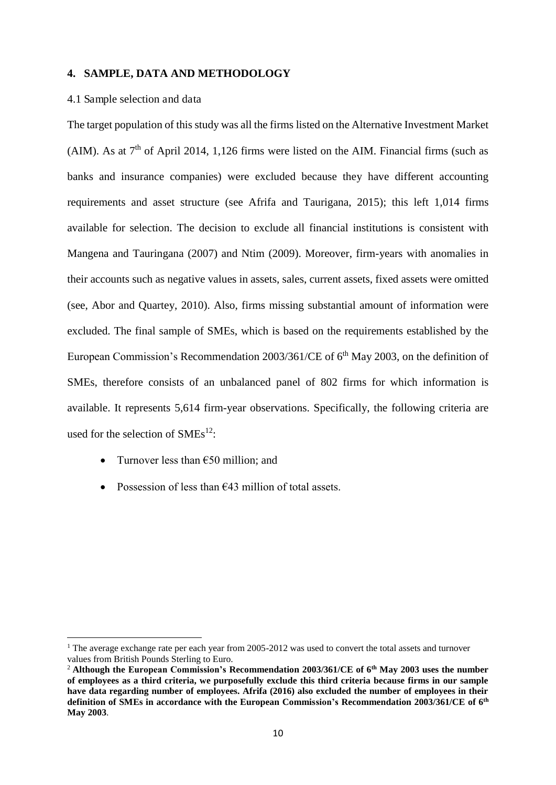#### **4. SAMPLE, DATA AND METHODOLOGY**

#### 4.1 Sample selection and data

The target population of this study was all the firms listed on the Alternative Investment Market (AIM). As at  $7<sup>th</sup>$  of April 2014, 1,126 firms were listed on the AIM. Financial firms (such as banks and insurance companies) were excluded because they have different accounting requirements and asset structure (see Afrifa and Taurigana, 2015); this left 1,014 firms available for selection. The decision to exclude all financial institutions is consistent with Mangena and Tauringana (2007) and Ntim (2009). Moreover, firm-years with anomalies in their accounts such as negative values in assets, sales, current assets, fixed assets were omitted (see, Abor and Quartey, 2010). Also, firms missing substantial amount of information were excluded. The final sample of SMEs, which is based on the requirements established by the European Commission's Recommendation 2003/361/CE of  $6<sup>th</sup>$  May 2003, on the definition of SMEs, therefore consists of an unbalanced panel of 802 firms for which information is available. It represents 5,614 firm-year observations. Specifically, the following criteria are used for the selection of  $SMEs<sup>12</sup>$ :

Turnover less than  $\epsilon$ 50 million; and

<u>.</u>

• Possession of less than  $643$  million of total assets.

<sup>&</sup>lt;sup>1</sup> The average exchange rate per each year from 2005-2012 was used to convert the total assets and turnover values from British Pounds Sterling to Euro.

<sup>2</sup> **Although the European Commission's Recommendation 2003/361/CE of 6th May 2003 uses the number of employees as a third criteria, we purposefully exclude this third criteria because firms in our sample have data regarding number of employees. Afrifa (2016) also excluded the number of employees in their definition of SMEs in accordance with the European Commission's Recommendation 2003/361/CE of 6th May 2003**.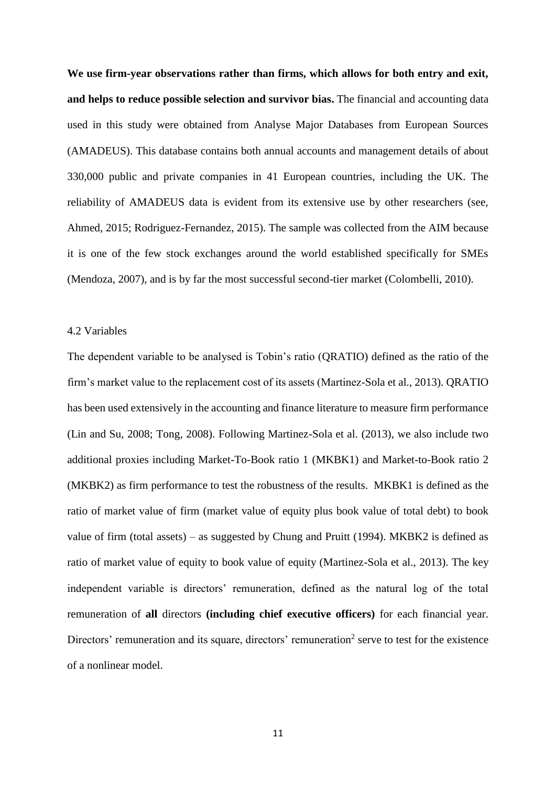**We use firm-year observations rather than firms, which allows for both entry and exit, and helps to reduce possible selection and survivor bias.** The financial and accounting data used in this study were obtained from Analyse Major Databases from European Sources (AMADEUS). This database contains both annual accounts and management details of about 330,000 public and private companies in 41 European countries, including the UK. The reliability of AMADEUS data is evident from its extensive use by other researchers (see, Ahmed, 2015; Rodriguez-Fernandez, 2015). The sample was collected from the AIM because it is one of the few stock exchanges around the world established specifically for SMEs (Mendoza, 2007), and is by far the most successful second-tier market (Colombelli, 2010).

## 4.2 Variables

The dependent variable to be analysed is Tobin's ratio (QRATIO) defined as the ratio of the firm's market value to the replacement cost of its assets (Martinez-Sola et al., 2013). QRATIO has been used extensively in the accounting and finance literature to measure firm performance (Lin and Su, 2008; Tong, 2008). Following Martinez-Sola et al. (2013), we also include two additional proxies including Market-To-Book ratio 1 (MKBK1) and Market-to-Book ratio 2 (MKBK2) as firm performance to test the robustness of the results. MKBK1 is defined as the ratio of market value of firm (market value of equity plus book value of total debt) to book value of firm (total assets) – as suggested by Chung and Pruitt (1994). MKBK2 is defined as ratio of market value of equity to book value of equity (Martinez-Sola et al., 2013). The key independent variable is directors' remuneration, defined as the natural log of the total remuneration of **all** directors **(including chief executive officers)** for each financial year. Directors' remuneration and its square, directors' remuneration<sup>2</sup> serve to test for the existence of a nonlinear model.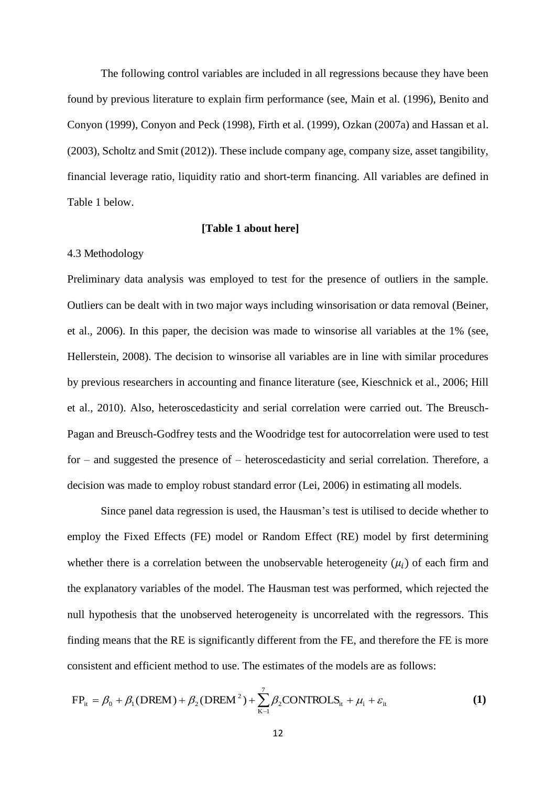The following control variables are included in all regressions because they have been found by previous literature to explain firm performance (see, Main et al. (1996), Benito and Conyon (1999), Conyon and Peck (1998), Firth et al. (1999), Ozkan (2007a) and Hassan et al. (2003), Scholtz and Smit (2012)). These include company age, company size, asset tangibility, financial leverage ratio, liquidity ratio and short-term financing. All variables are defined in Table 1 below.

#### **[Table 1 about here]**

#### 4.3 Methodology

Preliminary data analysis was employed to test for the presence of outliers in the sample. Outliers can be dealt with in two major ways including winsorisation or data removal (Beiner, et al., 2006). In this paper, the decision was made to winsorise all variables at the 1% (see, Hellerstein, 2008). The decision to winsorise all variables are in line with similar procedures by previous researchers in accounting and finance literature (see, Kieschnick et al., 2006; Hill et al., 2010). Also, heteroscedasticity and serial correlation were carried out. The Breusch-Pagan and Breusch-Godfrey tests and the Woodridge test for autocorrelation were used to test for – and suggested the presence of – heteroscedasticity and serial correlation. Therefore, a decision was made to employ robust standard error (Lei, 2006) in estimating all models.

Since panel data regression is used, the Hausman's test is utilised to decide whether to employ the Fixed Effects (FE) model or Random Effect (RE) model by first determining whether there is a correlation between the unobservable heterogeneity  $(\mu_i)$  of each firm and the explanatory variables of the model. The Hausman test was performed, which rejected the null hypothesis that the unobserved heterogeneity is uncorrelated with the regressors. This finding means that the RE is significantly different from the FE, and therefore the FE is more consistent and efficient method to use. The estimates of the models are as follows:

$$
FP_{it} = \beta_0 + \beta_1 (DREM) + \beta_2 (DREM^2) + \sum_{K=1}^{7} \beta_2 CONTROLS_{it} + \mu_i + \varepsilon_{it}
$$
 (1)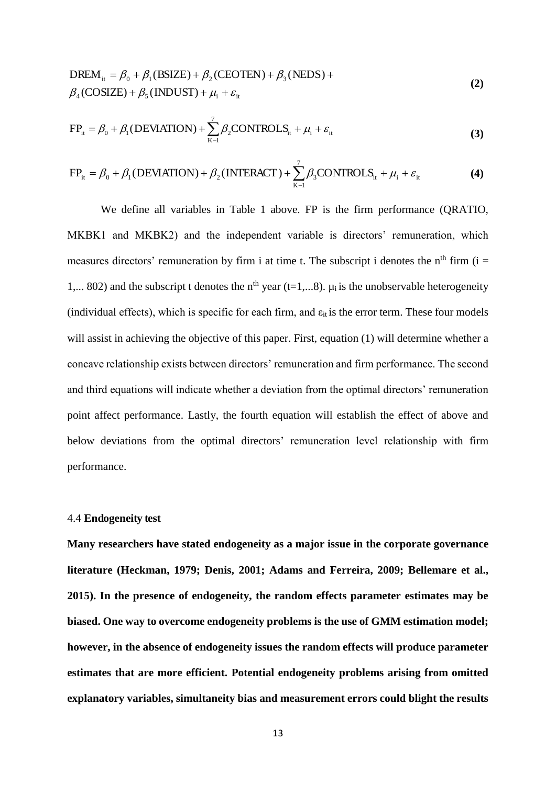DREM<sub>it</sub> = 
$$
\beta_0 + \beta_1(BSIZE) + \beta_2(CEOTEN) + \beta_3(NEDS) +
$$
  
\n $\beta_4(COSIZE) + \beta_5 (INDUST) + \mu_i + \varepsilon_{it}$  (2)

$$
FP_{it} = \beta_0 + \beta_1 (DEVIATION) + \sum_{K-1}^{7} \beta_2 CONTROLS_{it} + \mu_i + \varepsilon_{it}
$$
\n(3)

$$
FP_{it} = \beta_0 + \beta_1 (DEVIATION) + \beta_2 (INTERACT) + \sum_{K-1}^{7} \beta_3 CONTROLS_{it} + \mu_i + \varepsilon_{it}
$$
 (4)

We define all variables in Table 1 above. FP is the firm performance (ORATIO, MKBK1 and MKBK2) and the independent variable is directors' remuneration, which measures directors' remuneration by firm i at time t. The subscript i denotes the  $n<sup>th</sup>$  firm (i = 1,... 802) and the subscript t denotes the n<sup>th</sup> year (t=1,...8).  $\mu_i$  is the unobservable heterogeneity (individual effects), which is specific for each firm, and  $\varepsilon_{it}$  is the error term. These four models will assist in achieving the objective of this paper. First, equation (1) will determine whether a concave relationship exists between directors' remuneration and firm performance. The second and third equations will indicate whether a deviation from the optimal directors' remuneration point affect performance. Lastly, the fourth equation will establish the effect of above and below deviations from the optimal directors' remuneration level relationship with firm performance.

#### 4.4 **Endogeneity test**

**Many researchers have stated endogeneity as a major issue in the corporate governance literature (Heckman, 1979; Denis, 2001; Adams and Ferreira, 2009; Bellemare et al., 2015). In the presence of endogeneity, the random effects parameter estimates may be biased. One way to overcome endogeneity problems is the use of GMM estimation model; however, in the absence of endogeneity issues the random effects will produce parameter estimates that are more efficient. Potential endogeneity problems arising from omitted explanatory variables, simultaneity bias and measurement errors could blight the results**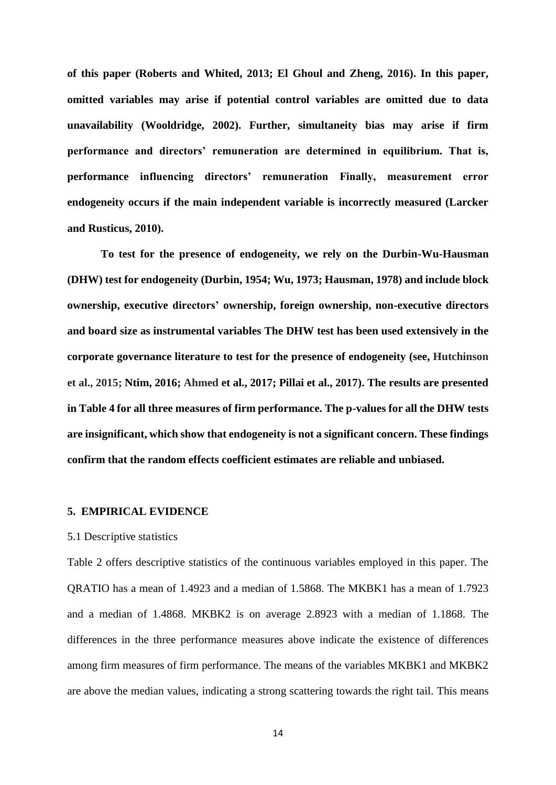**of this paper (Roberts and Whited, 2013; El Ghoul and Zheng, 2016). In this paper, omitted variables may arise if potential control variables are omitted due to data unavailability (Wooldridge, 2002). Further, simultaneity bias may arise if firm performance and directors' remuneration are determined in equilibrium. That is, performance influencing directors' remuneration Finally, measurement error endogeneity occurs if the main independent variable is incorrectly measured (Larcker and Rusticus, 2010).**

 **To test for the presence of endogeneity, we rely on the Durbin-Wu-Hausman (DHW) test for endogeneity (Durbin, 1954; Wu, 1973; Hausman, 1978) and include block ownership, executive directors' ownership, foreign ownership, non-executive directors and board size as instrumental variables The DHW test has been used extensively in the corporate governance literature to test for the presence of endogeneity (see, Hutchinson et al., 2015; Ntim, 2016; Ahmed et al., 2017; Pillai et al., 2017). The results are presented in Table 4 for all three measures of firm performance. The p-values for all the DHW tests are insignificant, which show that endogeneity is not a significant concern. These findings confirm that the random effects coefficient estimates are reliable and unbiased.** 

#### **5. EMPIRICAL EVIDENCE**

#### 5.1 Descriptive statistics

Table 2 offers descriptive statistics of the continuous variables employed in this paper. The QRATIO has a mean of 1.4923 and a median of 1.5868. The MKBK1 has a mean of 1.7923 and a median of 1.4868. MKBK2 is on average 2.8923 with a median of 1.1868. The differences in the three performance measures above indicate the existence of differences among firm measures of firm performance. The means of the variables MKBK1 and MKBK2 are above the median values, indicating a strong scattering towards the right tail. This means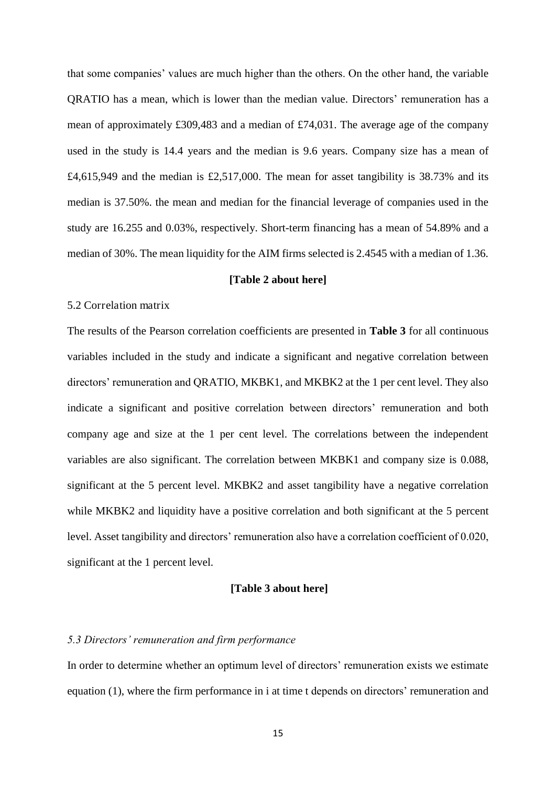that some companies' values are much higher than the others. On the other hand, the variable QRATIO has a mean, which is lower than the median value. Directors' remuneration has a mean of approximately £309,483 and a median of £74,031. The average age of the company used in the study is 14.4 years and the median is 9.6 years. Company size has a mean of  $£4,615,949$  and the median is £2,517,000. The mean for asset tangibility is 38.73% and its median is 37.50%. the mean and median for the financial leverage of companies used in the study are 16.255 and 0.03%, respectively. Short-term financing has a mean of 54.89% and a median of 30%. The mean liquidity for the AIM firms selected is 2.4545 with a median of 1.36.

### **[Table 2 about here]**

## 5.2 Correlation matrix

The results of the Pearson correlation coefficients are presented in **Table 3** for all continuous variables included in the study and indicate a significant and negative correlation between directors' remuneration and QRATIO, MKBK1, and MKBK2 at the 1 per cent level. They also indicate a significant and positive correlation between directors' remuneration and both company age and size at the 1 per cent level. The correlations between the independent variables are also significant. The correlation between MKBK1 and company size is 0.088, significant at the 5 percent level. MKBK2 and asset tangibility have a negative correlation while MKBK2 and liquidity have a positive correlation and both significant at the 5 percent level. Asset tangibility and directors' remuneration also have a correlation coefficient of 0.020, significant at the 1 percent level.

## **[Table 3 about here]**

## *5.3 Directors' remuneration and firm performance*

In order to determine whether an optimum level of directors' remuneration exists we estimate equation (1), where the firm performance in i at time t depends on directors' remuneration and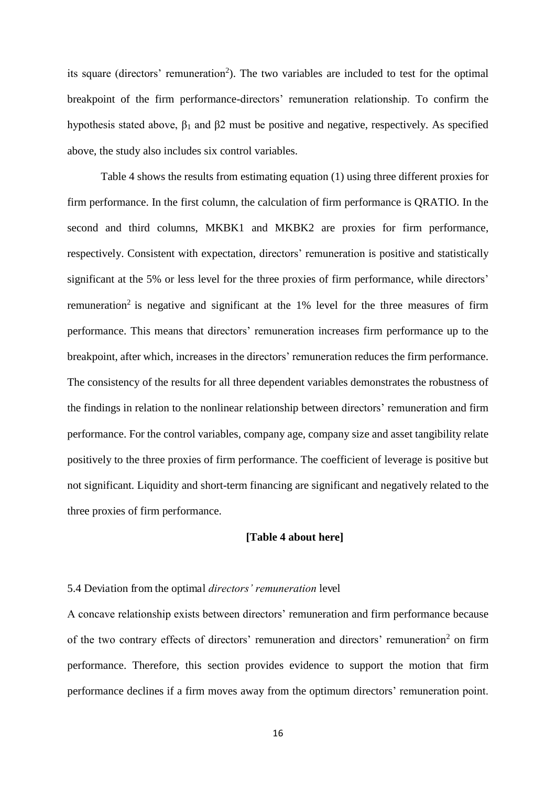its square (directors' remuneration<sup>2</sup>). The two variables are included to test for the optimal breakpoint of the firm performance-directors' remuneration relationship. To confirm the hypothesis stated above,  $\beta_1$  and  $\beta_2$  must be positive and negative, respectively. As specified above, the study also includes six control variables.

Table 4 shows the results from estimating equation (1) using three different proxies for firm performance. In the first column, the calculation of firm performance is QRATIO. In the second and third columns, MKBK1 and MKBK2 are proxies for firm performance, respectively. Consistent with expectation, directors' remuneration is positive and statistically significant at the 5% or less level for the three proxies of firm performance, while directors' remuneration<sup>2</sup> is negative and significant at the 1% level for the three measures of firm performance. This means that directors' remuneration increases firm performance up to the breakpoint, after which, increases in the directors' remuneration reduces the firm performance. The consistency of the results for all three dependent variables demonstrates the robustness of the findings in relation to the nonlinear relationship between directors' remuneration and firm performance. For the control variables, company age, company size and asset tangibility relate positively to the three proxies of firm performance. The coefficient of leverage is positive but not significant. Liquidity and short-term financing are significant and negatively related to the three proxies of firm performance.

## **[Table 4 about here]**

#### 5.4 Deviation from the optimal *directors' remuneration* level

A concave relationship exists between directors' remuneration and firm performance because of the two contrary effects of directors' remuneration and directors' remuneration<sup>2</sup> on firm performance. Therefore, this section provides evidence to support the motion that firm performance declines if a firm moves away from the optimum directors' remuneration point.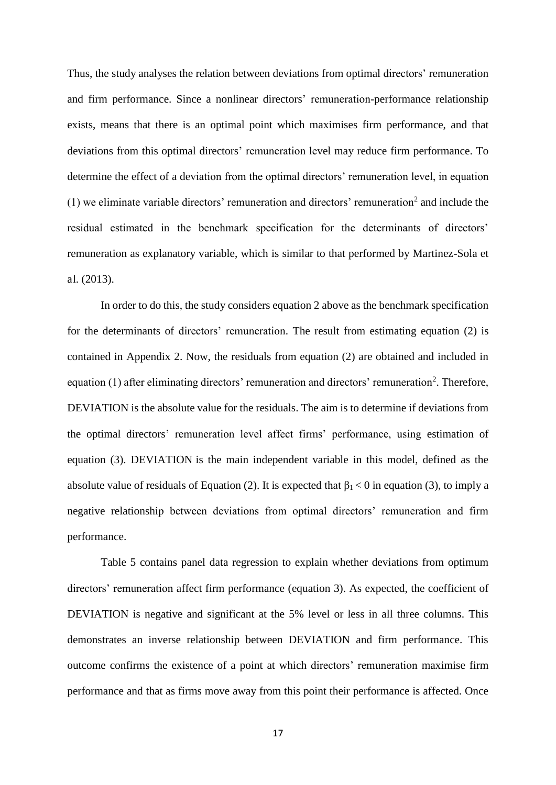Thus, the study analyses the relation between deviations from optimal directors' remuneration and firm performance. Since a nonlinear directors' remuneration-performance relationship exists, means that there is an optimal point which maximises firm performance, and that deviations from this optimal directors' remuneration level may reduce firm performance. To determine the effect of a deviation from the optimal directors' remuneration level, in equation  $(1)$  we eliminate variable directors' remuneration and directors' remuneration<sup>2</sup> and include the residual estimated in the benchmark specification for the determinants of directors' remuneration as explanatory variable, which is similar to that performed by Martinez-Sola et al. (2013).

 In order to do this, the study considers equation 2 above as the benchmark specification for the determinants of directors' remuneration. The result from estimating equation (2) is contained in Appendix 2. Now, the residuals from equation (2) are obtained and included in equation (1) after eliminating directors' remuneration and directors' remuneration<sup>2</sup>. Therefore, DEVIATION is the absolute value for the residuals. The aim is to determine if deviations from the optimal directors' remuneration level affect firms' performance, using estimation of equation (3). DEVIATION is the main independent variable in this model, defined as the absolute value of residuals of Equation (2). It is expected that  $\beta_1 < 0$  in equation (3), to imply a negative relationship between deviations from optimal directors' remuneration and firm performance.

 Table 5 contains panel data regression to explain whether deviations from optimum directors' remuneration affect firm performance (equation 3). As expected, the coefficient of DEVIATION is negative and significant at the 5% level or less in all three columns. This demonstrates an inverse relationship between DEVIATION and firm performance. This outcome confirms the existence of a point at which directors' remuneration maximise firm performance and that as firms move away from this point their performance is affected. Once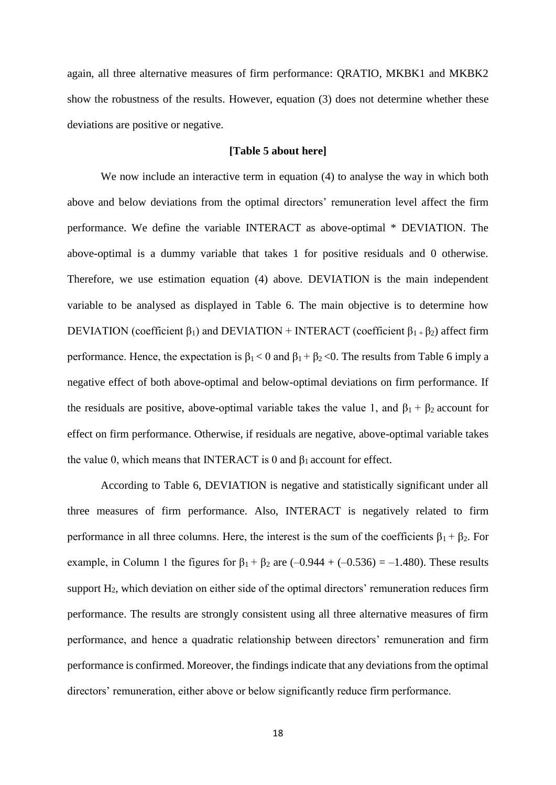again, all three alternative measures of firm performance: QRATIO, MKBK1 and MKBK2 show the robustness of the results. However, equation (3) does not determine whether these deviations are positive or negative.

#### **[Table 5 about here]**

We now include an interactive term in equation (4) to analyse the way in which both above and below deviations from the optimal directors' remuneration level affect the firm performance. We define the variable INTERACT as above-optimal \* DEVIATION. The above-optimal is a dummy variable that takes 1 for positive residuals and 0 otherwise. Therefore, we use estimation equation (4) above. DEVIATION is the main independent variable to be analysed as displayed in Table 6. The main objective is to determine how DEVIATION (coefficient  $\beta_1$ ) and DEVIATION + INTERACT (coefficient  $\beta_1$  +  $\beta_2$ ) affect firm performance. Hence, the expectation is  $\beta_1 < 0$  and  $\beta_1 + \beta_2 < 0$ . The results from Table 6 imply a negative effect of both above-optimal and below-optimal deviations on firm performance. If the residuals are positive, above-optimal variable takes the value 1, and  $\beta_1 + \beta_2$  account for effect on firm performance. Otherwise, if residuals are negative, above-optimal variable takes the value 0, which means that INTERACT is 0 and  $\beta_1$  account for effect.

According to Table 6, DEVIATION is negative and statistically significant under all three measures of firm performance. Also, INTERACT is negatively related to firm performance in all three columns. Here, the interest is the sum of the coefficients  $\beta_1 + \beta_2$ . For example, in Column 1 the figures for  $\beta_1 + \beta_2$  are  $(-0.944 + (-0.536) = -1.480)$ . These results support H2, which deviation on either side of the optimal directors' remuneration reduces firm performance. The results are strongly consistent using all three alternative measures of firm performance, and hence a quadratic relationship between directors' remuneration and firm performance is confirmed. Moreover, the findings indicate that any deviations from the optimal directors' remuneration, either above or below significantly reduce firm performance.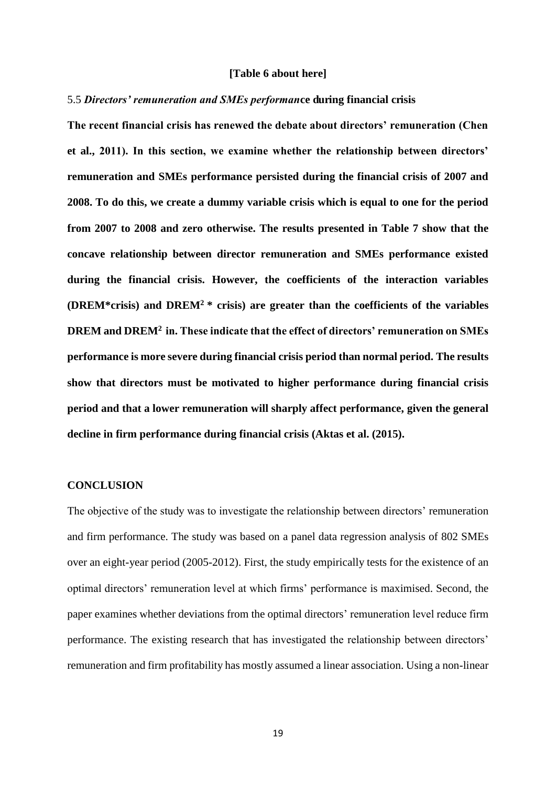#### **[Table 6 about here]**

#### 5.5 *Directors' remuneration and SMEs performan***ce during financial crisis**

**The recent financial crisis has renewed the debate about directors' remuneration (Chen et al., 2011). In this section, we examine whether the relationship between directors' remuneration and SMEs performance persisted during the financial crisis of 2007 and 2008. To do this, we create a dummy variable crisis which is equal to one for the period from 2007 to 2008 and zero otherwise. The results presented in Table 7 show that the concave relationship between director remuneration and SMEs performance existed during the financial crisis. However, the coefficients of the interaction variables (DREM\*crisis) and DREM<sup>2</sup>\* crisis) are greater than the coefficients of the variables DREM and DREM<sup>2</sup>in. These indicate that the effect of directors' remuneration on SMEs performance is more severe during financial crisis period than normal period. The results show that directors must be motivated to higher performance during financial crisis period and that a lower remuneration will sharply affect performance, given the general decline in firm performance during financial crisis (Aktas et al. (2015).** 

## **CONCLUSION**

The objective of the study was to investigate the relationship between directors' remuneration and firm performance. The study was based on a panel data regression analysis of 802 SMEs over an eight-year period (2005-2012). First, the study empirically tests for the existence of an optimal directors' remuneration level at which firms' performance is maximised. Second, the paper examines whether deviations from the optimal directors' remuneration level reduce firm performance. The existing research that has investigated the relationship between directors' remuneration and firm profitability has mostly assumed a linear association. Using a non-linear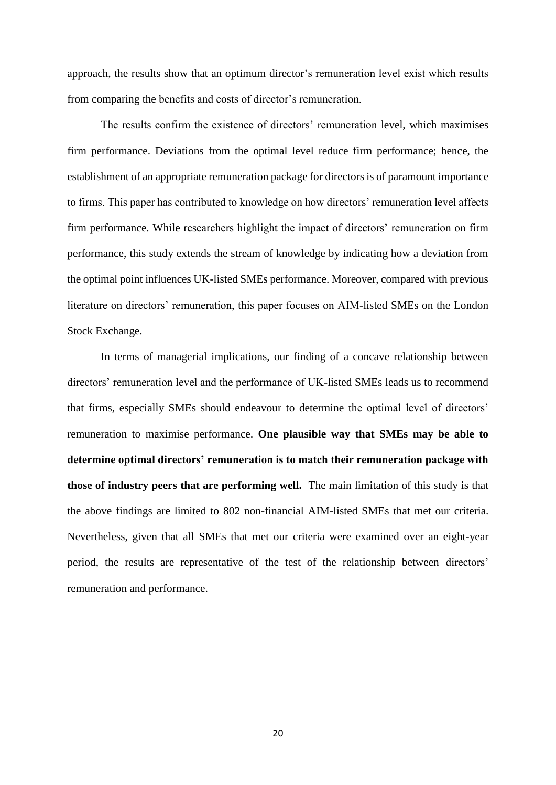approach, the results show that an optimum director's remuneration level exist which results from comparing the benefits and costs of director's remuneration.

The results confirm the existence of directors' remuneration level, which maximises firm performance. Deviations from the optimal level reduce firm performance; hence, the establishment of an appropriate remuneration package for directors is of paramount importance to firms. This paper has contributed to knowledge on how directors' remuneration level affects firm performance. While researchers highlight the impact of directors' remuneration on firm performance, this study extends the stream of knowledge by indicating how a deviation from the optimal point influences UK-listed SMEs performance. Moreover, compared with previous literature on directors' remuneration, this paper focuses on AIM-listed SMEs on the London Stock Exchange.

In terms of managerial implications, our finding of a concave relationship between directors' remuneration level and the performance of UK-listed SMEs leads us to recommend that firms, especially SMEs should endeavour to determine the optimal level of directors' remuneration to maximise performance. **One plausible way that SMEs may be able to determine optimal directors' remuneration is to match their remuneration package with those of industry peers that are performing well.** The main limitation of this study is that the above findings are limited to 802 non-financial AIM-listed SMEs that met our criteria. Nevertheless, given that all SMEs that met our criteria were examined over an eight-year period, the results are representative of the test of the relationship between directors' remuneration and performance.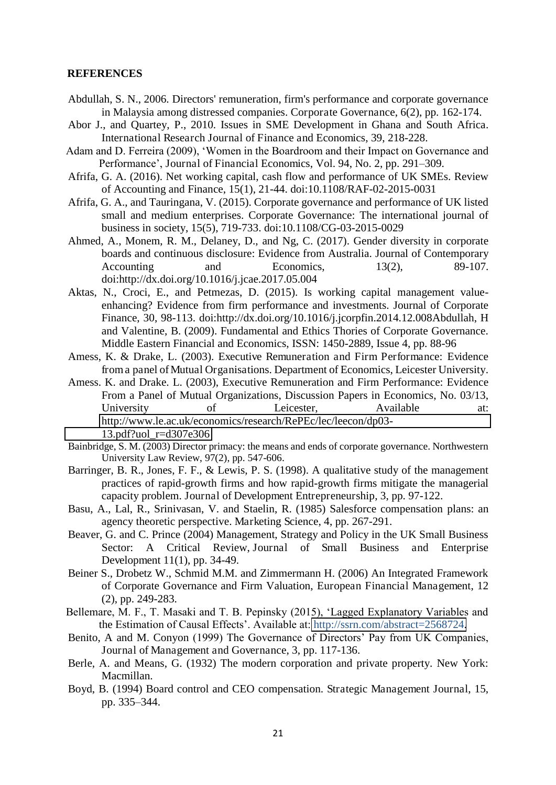#### **REFERENCES**

- Abdullah, S. N., 2006. Directors' remuneration, firm's performance and corporate governance in Malaysia among distressed companies. Corporate Governance, 6(2), pp. 162-174.
- Abor J., and Quartey, P., 2010. Issues in SME Development in Ghana and South Africa. International Research Journal of Finance and Economics, 39, 218-228.
- Adam and D. Ferreira (2009), 'Women in the Boardroom and their Impact on Governance and Performance', Journal of Financial Economics, Vol. 94, No. 2, pp. 291–309.
- Afrifa, G. A. (2016). Net working capital, cash flow and performance of UK SMEs. Review of Accounting and Finance, 15(1), 21-44. doi:10.1108/RAF-02-2015-0031
- Afrifa, G. A., and Tauringana, V. (2015). Corporate governance and performance of UK listed small and medium enterprises. Corporate Governance: The international journal of business in society, 15(5), 719-733. doi:10.1108/CG-03-2015-0029
- Ahmed, A., Monem, R. M., Delaney, D., and Ng, C. (2017). Gender diversity in corporate boards and continuous disclosure: Evidence from Australia. Journal of Contemporary Accounting and Economics, 13(2), 89-107. doi:http://dx.doi.org/10.1016/j.jcae.2017.05.004
- Aktas, N., Croci, E., and Petmezas, D. (2015). Is working capital management valueenhancing? Evidence from firm performance and investments. Journal of Corporate Finance, 30, 98-113. doi:http://dx.doi.org/10.1016/j.jcorpfin.2014.12.008Abdullah, H and Valentine, B. (2009). Fundamental and Ethics Thories of Corporate Governance. Middle Eastern Financial and Economics, ISSN: 1450-2889, Issue 4, pp. 88-96
- Amess, K. & Drake, L. (2003). Executive Remuneration and Firm Performance: Evidence from a panel of Mutual Organisations. Department of Economics, Leicester University.
- Amess. K. and Drake. L. (2003), Executive Remuneration and Firm Performance: Evidence From a Panel of Mutual Organizations, Discussion Papers in Economics, No. 03/13, University of Leicester, Available at: [http://www.le.ac.uk/economics/research/RePEc/lec/leecon/dp03-](http://www.le.ac.uk/economics/research/RePEc/lec/leecon/dp03-13.pdf?uol_r=d307e306) [13.pdf?uol\\_r=d307e306](http://www.le.ac.uk/economics/research/RePEc/lec/leecon/dp03-13.pdf?uol_r=d307e306)
- Bainbridge, S. M. (2003) Director primacy: the means and ends of corporate governance. Northwestern University Law Review, 97(2), pp. 547-606.
- Barringer, B. R., Jones, F. F., & Lewis, P. S. (1998). A qualitative study of the management practices of rapid-growth firms and how rapid-growth firms mitigate the managerial capacity problem. Journal of Development Entrepreneurship, 3, pp. 97-122.
- Basu, A., Lal, R., Srinivasan, V. and Staelin, R. (1985) Salesforce compensation plans: an agency theoretic perspective. Marketing Science, 4, pp. 267-291.
- Beaver, G. and C. Prince (2004) Management, Strategy and Policy in the UK Small Business Sector: A Critical Review, Journal of Small Business and Enterprise Development 11(1), pp. 34-49.
- Beiner S., Drobetz W., Schmid M.M. and Zimmermann H. (2006) An Integrated Framework of Corporate Governance and Firm Valuation, European Financial Management, 12 (2), pp. 249-283.
- Bellemare, M. F., T. Masaki and T. B. Pepinsky (2015), 'Lagged Explanatory Variables and the Estimation of Causal Effects'. Available at: [http://ssrn.com/abstract=2568724.](http://ssrn.com/abstract=2568724)
- Benito, A and M. Conyon (1999) The Governance of Directors' Pay from UK Companies, Journal of Management and Governance, 3, pp. 117-136.
- Berle, A. and Means, G. (1932) The modern corporation and private property. New York: Macmillan.
- Boyd, B. (1994) Board control and CEO compensation. Strategic Management Journal, 15, pp. 335–344.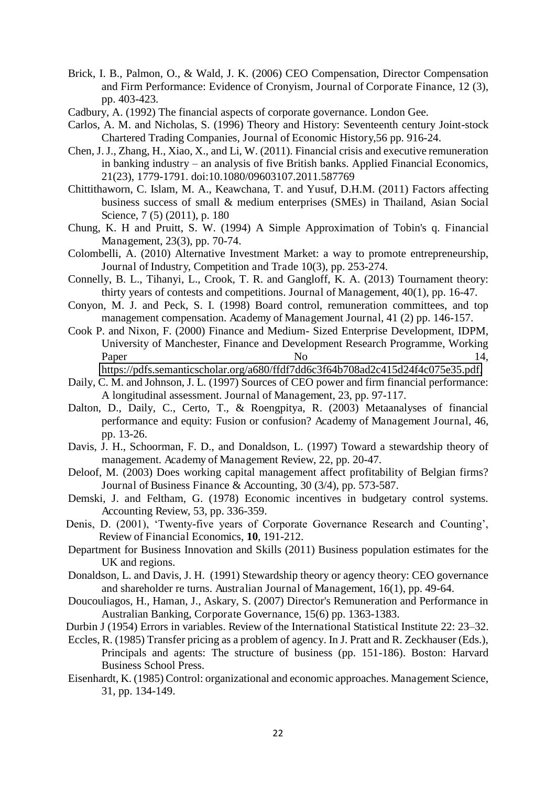- Brick, I. B., Palmon, O., & Wald, J. K. (2006) CEO Compensation, Director Compensation and Firm Performance: Evidence of Cronyism, Journal of Corporate Finance, 12 (3), pp. 403-423.
- Cadbury, A. (1992) The financial aspects of corporate governance. London Gee.
- Carlos, A. M. and Nicholas, S. (1996) Theory and History: Seventeenth century Joint-stock Chartered Trading Companies, Journal of Economic History,56 pp. 916-24.
- Chen, J. J., Zhang, H., Xiao, X., and Li, W. (2011). Financial crisis and executive remuneration in banking industry – an analysis of five British banks. Applied Financial Economics, 21(23), 1779-1791. doi:10.1080/09603107.2011.587769
- Chittithaworn, C. Islam, M. A., Keawchana, T. and Yusuf, D.H.M. (2011) Factors affecting business success of small & medium enterprises (SMEs) in Thailand, Asian Social Science, 7 (5) (2011), p. 180
- Chung, K. H and Pruitt, S. W. (1994) A Simple Approximation of Tobin's q. Financial Management, 23(3), pp. 70-74.
- Colombelli, A. (2010) Alternative Investment Market: a way to promote entrepreneurship, Journal of Industry, Competition and Trade 10(3), pp. 253-274.
- Connelly, B. L., Tihanyi, L., Crook, T. R. and Gangloff, K. A. (2013) Tournament theory: thirty years of contests and competitions. Journal of Management, 40(1), pp. 16-47.
- Conyon, M. J. and Peck, S. I. (1998) Board control, remuneration committees, and top management compensation. Academy of Management Journal, 41 (2) pp. 146-157.
- Cook P. and Nixon, F. (2000) Finance and Medium- Sized Enterprise Development, IDPM, University of Manchester, Finance and Development Research Programme, Working Paper 14,

[https://pdfs.semanticscholar.org/a680/ffdf7dd6c3f64b708ad2c415d24f4c075e35.pdf.](https://pdfs.semanticscholar.org/a680/ffdf7dd6c3f64b708ad2c415d24f4c075e35.pdf)

- Daily, C. M. and Johnson, J. L. (1997) Sources of CEO power and firm financial performance: A longitudinal assessment. Journal of Management, 23, pp. 97-117.
- Dalton, D., Daily, C., Certo, T., & Roengpitya, R. (2003) Metaanalyses of financial performance and equity: Fusion or confusion? Academy of Management Journal, 46, pp. 13-26.
- Davis, J. H., Schoorman, F. D., and Donaldson, L. (1997) Toward a stewardship theory of management. Academy of Management Review, 22, pp. 20-47.
- Deloof, M. (2003) Does working capital management affect profitability of Belgian firms? Journal of Business Finance & Accounting, 30 (3/4), pp. 573-587.
- Demski, J. and Feltham, G. (1978) Economic incentives in budgetary control systems. Accounting Review, 53, pp. 336-359.
- Denis, D. (2001), 'Twenty-five years of Corporate Governance Research and Counting', Review of Financial Economics, **10**, 191-212.
- Department for Business Innovation and Skills (2011) Business population estimates for the UK and regions.
- Donaldson, L. and Davis, J. H. (1991) Stewardship theory or agency theory: CEO governance and shareholder re turns. Australian Journal of Management, 16(1), pp. 49-64.
- Doucouliagos, H., Haman, J., Askary, S. (2007) Director's Remuneration and Performance in Australian Banking, Corporate Governance, 15(6) pp. 1363-1383.
- Durbin J (1954) Errors in variables. Review of the International Statistical Institute 22: 23–32.
- Eccles, R. (1985) Transfer pricing as a problem of agency. In J. Pratt and R. Zeckhauser (Eds.), Principals and agents: The structure of business (pp. 151-186). Boston: Harvard Business School Press.
- Eisenhardt, K. (1985) Control: organizational and economic approaches. Management Science, 31, pp. 134-149.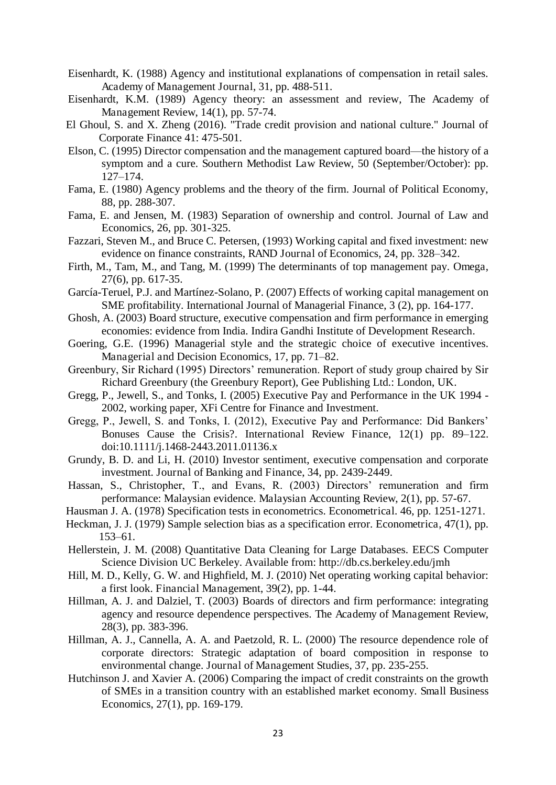- Eisenhardt, K. (1988) Agency and institutional explanations of compensation in retail sales. Academy of Management Journal, 31, pp. 488-511.
- Eisenhardt, K.M. (1989) Agency theory: an assessment and review, The Academy of Management Review, 14(1), pp. 57-74.
- El Ghoul, S. and X. Zheng (2016). "Trade credit provision and national culture." Journal of Corporate Finance 41: 475-501.
- Elson, C. (1995) Director compensation and the management captured board—the history of a symptom and a cure. Southern Methodist Law Review, 50 (September/October): pp. 127–174.
- Fama, E. (1980) Agency problems and the theory of the firm. Journal of Political Economy, 88, pp. 288-307.
- Fama, E. and Jensen, M. (1983) Separation of ownership and control. Journal of Law and Economics, 26, pp. 301-325.
- Fazzari, Steven M., and Bruce C. Petersen, (1993) Working capital and fixed investment: new evidence on finance constraints, RAND Journal of Economics, 24, pp. 328–342.
- Firth, M., Tam, M., and Tang, M. (1999) The determinants of top management pay. Omega, 27(6), pp. 617-35.
- García-Teruel, P.J. and Martínez-Solano, P. (2007) Effects of working capital management on SME profitability. International Journal of Managerial Finance, 3 (2), pp. 164-177.
- Ghosh, A. (2003) Board structure, executive compensation and firm performance in emerging economies: evidence from India. Indira Gandhi Institute of Development Research.
- Goering, G.E. (1996) Managerial style and the strategic choice of executive incentives. Managerial and Decision Economics, 17, pp. 71–82.
- Greenbury, Sir Richard (1995) Directors' remuneration. Report of study group chaired by Sir Richard Greenbury (the Greenbury Report), Gee Publishing Ltd.: London, UK.
- Gregg, P., Jewell, S., and Tonks, I. (2005) Executive Pay and Performance in the UK 1994 2002, working paper, XFi Centre for Finance and Investment.
- Gregg, P., Jewell, S. and Tonks, I. (2012), Executive Pay and Performance: Did Bankers' Bonuses Cause the Crisis?. International Review Finance, 12(1) pp. 89–122. doi:10.1111/j.1468-2443.2011.01136.x
- Grundy, B. D. and Li, H. (2010) Investor sentiment, executive compensation and corporate investment. Journal of Banking and Finance, 34, pp. 2439-2449.
- Hassan, S., Christopher, T., and Evans, R. (2003) Directors' remuneration and firm performance: Malaysian evidence. Malaysian Accounting Review, 2(1), pp. 57-67.
- Hausman J. A. (1978) Specification tests in econometrics. Econometrical. 46, pp. 1251-1271.
- Heckman, J. J. (1979) Sample selection bias as a specification error. Econometrica, 47(1), pp. 153–61.
- Hellerstein, J. M. (2008) Quantitative Data Cleaning for Large Databases. EECS Computer Science Division UC Berkeley. Available from: http://db.cs.berkeley.edu/jmh
- Hill, M. D., Kelly, G. W. and Highfield, M. J. (2010) Net operating working capital behavior: a first look. Financial Management, 39(2), pp. 1-44.
- Hillman, A. J. and Dalziel, T. (2003) Boards of directors and firm performance: integrating agency and resource dependence perspectives. The Academy of Management Review, 28(3), pp. 383-396.
- Hillman, A. J., Cannella, A. A. and Paetzold, R. L. (2000) The resource dependence role of corporate directors: Strategic adaptation of board composition in response to environmental change. Journal of Management Studies, 37, pp. 235-255.
- Hutchinson J. and Xavier A. (2006) Comparing the impact of credit constraints on the growth of SMEs in a transition country with an established market economy. Small Business Economics, 27(1), pp. 169-179.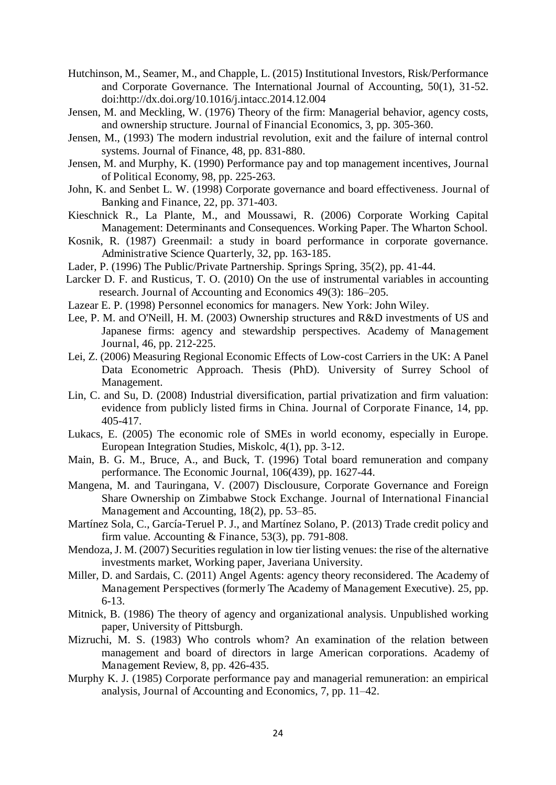- Hutchinson, M., Seamer, M., and Chapple, L. (2015) Institutional Investors, Risk/Performance and Corporate Governance. The International Journal of Accounting, 50(1), 31-52. doi:http://dx.doi.org/10.1016/j.intacc.2014.12.004
- Jensen, M. and Meckling, W. (1976) Theory of the firm: Managerial behavior, agency costs, and ownership structure. Journal of Financial Economics, 3, pp. 305-360.
- Jensen, M., (1993) The modern industrial revolution, exit and the failure of internal control systems. Journal of Finance, 48, pp. 831-880.
- Jensen, M. and Murphy, K. (1990) Performance pay and top management incentives, Journal of Political Economy, 98, pp. 225-263.
- John, K. and Senbet L. W. (1998) Corporate governance and board effectiveness. Journal of Banking and Finance, 22, pp. 371-403.
- Kieschnick R., La Plante, M., and Moussawi, R. (2006) Corporate Working Capital Management: Determinants and Consequences. Working Paper. The Wharton School.
- Kosnik, R. (1987) Greenmail: a study in board performance in corporate governance. Administrative Science Quarterly, 32, pp. 163-185.
- Lader, P. (1996) The Public/Private Partnership. Springs Spring, 35(2), pp. 41-44.
- Larcker D. F. and Rusticus, T. O. (2010) On the use of instrumental variables in accounting research. Journal of Accounting and Economics 49(3): 186–205.
- Lazear E. P. (1998) Personnel economics for managers. New York: John Wiley.
- Lee, P. M. and O'Neill, H. M. (2003) Ownership structures and R&D investments of US and Japanese firms: agency and stewardship perspectives. Academy of Management Journal, 46, pp. 212-225.
- Lei, Z. (2006) Measuring Regional Economic Effects of Low-cost Carriers in the UK: A Panel Data Econometric Approach. Thesis (PhD). University of Surrey School of Management.
- Lin, C. and Su, D. (2008) Industrial diversification, partial privatization and firm valuation: evidence from publicly listed firms in China. Journal of Corporate Finance, 14, pp. 405-417.
- Lukacs, E. (2005) The economic role of SMEs in world economy, especially in Europe. European Integration Studies, Miskolc, 4(1), pp. 3-12.
- Main, B. G. M., Bruce, A., and Buck, T. (1996) Total board remuneration and company performance. The Economic Journal, 106(439), pp. 1627-44.
- Mangena, M. and Tauringana, V. (2007) Disclousure, Corporate Governance and Foreign Share Ownership on Zimbabwe Stock Exchange. Journal of International Financial Management and Accounting, 18(2), pp. 53–85.
- Martínez Sola, C., García-Teruel P. J., and Martínez Solano, P. (2013) Trade credit policy and firm value. Accounting & Finance, 53(3), pp. 791-808.
- Mendoza, J. M. (2007) Securities regulation in low tier listing venues: the rise of the alternative investments market, Working paper, Javeriana University.
- Miller, D. and Sardais, C. (2011) Angel Agents: agency theory reconsidered. The Academy of Management Perspectives (formerly The Academy of Management Executive). 25, pp. 6-13.
- Mitnick, B. (1986) The theory of agency and organizational analysis. Unpublished working paper, University of Pittsburgh.
- Mizruchi, M. S. (1983) Who controls whom? An examination of the relation between management and board of directors in large American corporations. Academy of Management Review, 8, pp. 426-435.
- Murphy K. J. (1985) Corporate performance pay and managerial remuneration: an empirical analysis, Journal of Accounting and Economics, 7, pp. 11–42.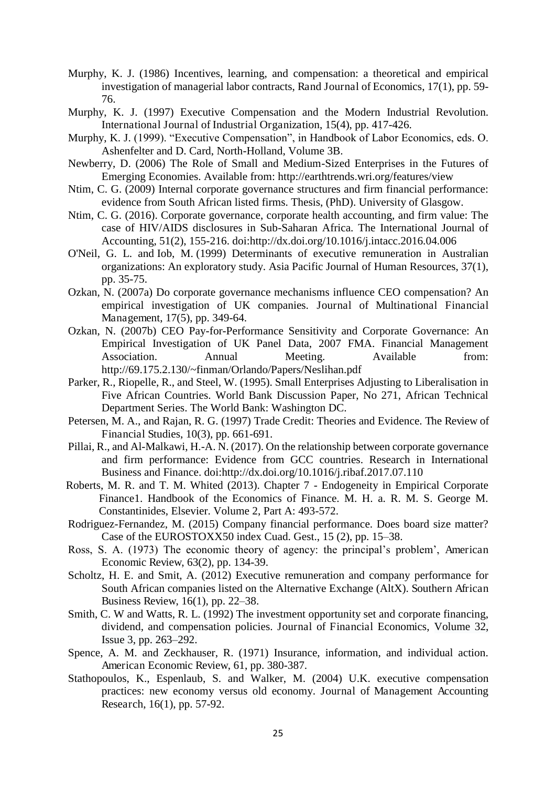- Murphy, K. J. (1986) Incentives, learning, and compensation: a theoretical and empirical investigation of managerial labor contracts, Rand Journal of Economics, 17(1), pp. 59- 76.
- Murphy, K. J. (1997) Executive Compensation and the Modern Industrial Revolution. International Journal of Industrial Organization, 15(4), pp. 417-426.
- Murphy, K. J. (1999). "Executive Compensation", in Handbook of Labor Economics, eds. O. Ashenfelter and D. Card, North-Holland, Volume 3B.
- Newberry, D. (2006) The Role of Small and Medium-Sized Enterprises in the Futures of Emerging Economies. Available from: http://earthtrends.wri.org/features/view
- Ntim, C. G. (2009) Internal corporate governance structures and firm financial performance: evidence from South African listed firms. Thesis, (PhD). University of Glasgow.
- Ntim, C. G. (2016). Corporate governance, corporate health accounting, and firm value: The case of HIV/AIDS disclosures in Sub-Saharan Africa. The International Journal of Accounting, 51(2), 155-216. doi:http://dx.doi.org/10.1016/j.intacc.2016.04.006
- O'Neil, G. L. and Iob, M. (1999) Determinants of executive remuneration in Australian organizations: An exploratory study. Asia Pacific Journal of Human Resources, 37(1), pp. 35-75.
- Ozkan, N. (2007a) Do corporate governance mechanisms influence CEO compensation? An empirical investigation of UK companies. Journal of Multinational Financial Management, 17(5), pp. 349-64.
- Ozkan, N. (2007b) CEO Pay-for-Performance Sensitivity and Corporate Governance: An Empirical Investigation of UK Panel Data, 2007 FMA. Financial Management Association. Annual Meeting. Available from: http://69.175.2.130/~finman/Orlando/Papers/Neslihan.pdf
- Parker, R., Riopelle, R., and Steel, W. (1995). Small Enterprises Adjusting to Liberalisation in Five African Countries. World Bank Discussion Paper, No 271, African Technical Department Series. The World Bank: Washington DC.
- Petersen, M. A., and Rajan, R. G. (1997) Trade Credit: Theories and Evidence. The Review of Financial Studies, 10(3), pp. 661-691.
- Pillai, R., and Al-Malkawi, H.-A. N. (2017). On the relationship between corporate governance and firm performance: Evidence from GCC countries. Research in International Business and Finance. doi:http://dx.doi.org/10.1016/j.ribaf.2017.07.110
- Roberts, M. R. and T. M. Whited (2013). Chapter 7 Endogeneity in Empirical Corporate Finance1. Handbook of the Economics of Finance. M. H. a. R. M. S. George M. Constantinides, Elsevier. Volume 2, Part A: 493-572.
- Rodriguez-Fernandez, M. (2015) Company financial performance. Does board size matter? Case of the EUROSTOXX50 index Cuad. Gest., 15 (2), pp. 15–38.
- Ross, S. A. (1973) The economic theory of agency: the principal's problem', American Economic Review, 63(2), pp. 134-39.
- Scholtz, H. E. and Smit, A. (2012) Executive remuneration and company performance for South African companies listed on the Alternative Exchange (AltX). Southern African Business Review, 16(1), pp. 22–38.
- Smith, C. W and Watts, R. L. (1992) The investment opportunity set and corporate financing, dividend, and compensation policies. Journal of Financial Economics, Volume 32, Issue 3, pp. 263–292.
- Spence, A. M. and Zeckhauser, R. (1971) Insurance, information, and individual action. American Economic Review, 61, pp. 380-387.
- Stathopoulos, K., Espenlaub, S. and Walker, M. (2004) U.K. executive compensation practices: new economy versus old economy. Journal of Management Accounting Research, 16(1), pp. 57-92.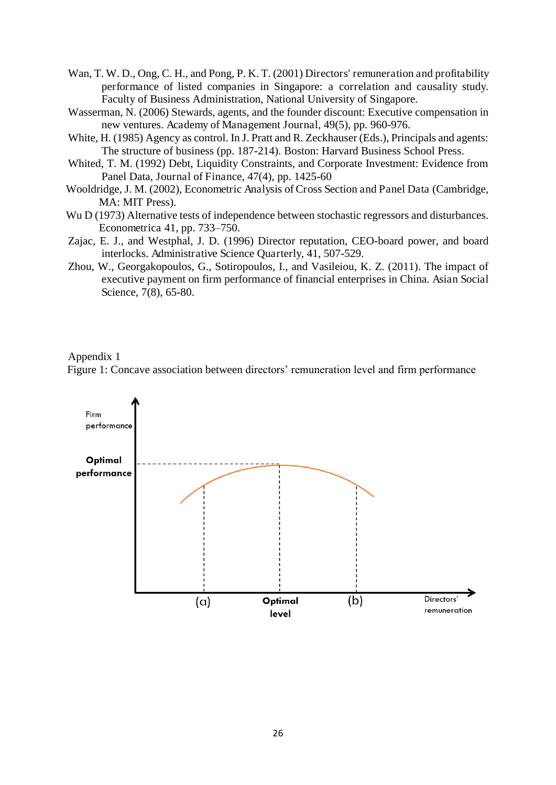- Wan, T. W. D., Ong, C. H., and Pong, P. K. T. (2001) Directors' remuneration and profitability performance of listed companies in Singapore: a correlation and causality study. Faculty of Business Administration, National University of Singapore.
- Wasserman, N. (2006) Stewards, agents, and the founder discount: Executive compensation in new ventures. Academy of Management Journal, 49(5), pp. 960-976.
- White, H. (1985) Agency as control. In J. Pratt and R. Zeckhauser (Eds.), Principals and agents: The structure of business (pp. 187-214). Boston: Harvard Business School Press.
- Whited, T. M. (1992) Debt, Liquidity Constraints, and Corporate Investment: Evidence from Panel Data, Journal of Finance, 47(4), pp. 1425-60
- Wooldridge, J. M. (2002), Econometric Analysis of Cross Section and Panel Data (Cambridge, MA: MIT Press).
- Wu D (1973) Alternative tests of independence between stochastic regressors and disturbances. Econometrica 41, pp. 733–750.
- Zajac, E. J., and Westphal, J. D. (1996) Director reputation, CEO-board power, and board interlocks. Administrative Science Quarterly, 41, 507-529.
- Zhou, W., Georgakopoulos, G., Sotiropoulos, I., and Vasileiou, K. Z. (2011). The impact of executive payment on firm performance of financial enterprises in China. Asian Social Science, 7(8), 65-80.

Appendix 1

Figure 1: Concave association between directors' remuneration level and firm performance

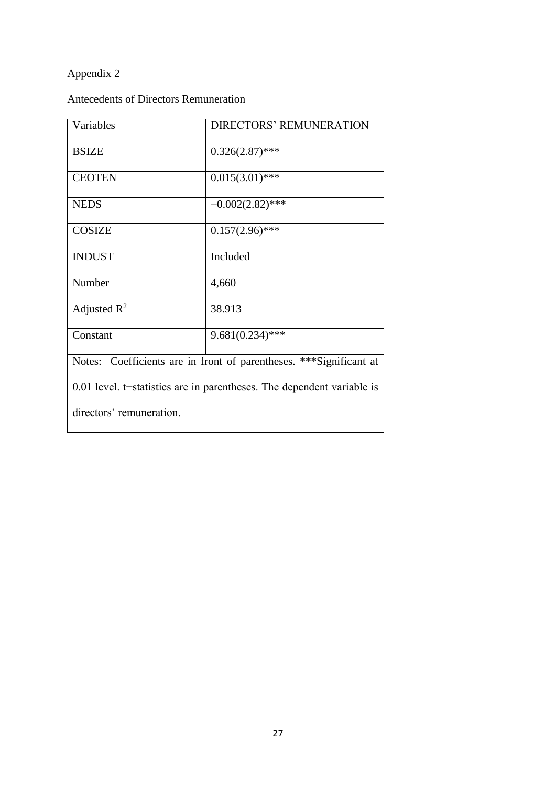# Appendix 2

Antecedents of Directors Remuneration

| Variables                                                              | <b>DIRECTORS' REMUNERATION</b>                                      |  |  |  |
|------------------------------------------------------------------------|---------------------------------------------------------------------|--|--|--|
|                                                                        |                                                                     |  |  |  |
| <b>BSIZE</b>                                                           | $0.326(2.87)$ ***                                                   |  |  |  |
|                                                                        |                                                                     |  |  |  |
| <b>CEOTEN</b>                                                          | $0.015(3.01)$ ***                                                   |  |  |  |
| <b>NEDS</b>                                                            | $-0.002(2.82)$ ***                                                  |  |  |  |
|                                                                        |                                                                     |  |  |  |
| <b>COSIZE</b>                                                          | $0.157(2.96)$ ***                                                   |  |  |  |
|                                                                        |                                                                     |  |  |  |
| <b>INDUST</b>                                                          | Included                                                            |  |  |  |
|                                                                        |                                                                     |  |  |  |
| Number                                                                 | 4,660                                                               |  |  |  |
| Adjusted $R^2$                                                         | 38.913                                                              |  |  |  |
|                                                                        |                                                                     |  |  |  |
| Constant                                                               | $9.681(0.234)$ ***                                                  |  |  |  |
|                                                                        |                                                                     |  |  |  |
|                                                                        | Notes: Coefficients are in front of parentheses. *** Significant at |  |  |  |
| 0.01 level. t-statistics are in parentheses. The dependent variable is |                                                                     |  |  |  |
|                                                                        |                                                                     |  |  |  |
| directors' remuneration.                                               |                                                                     |  |  |  |
|                                                                        |                                                                     |  |  |  |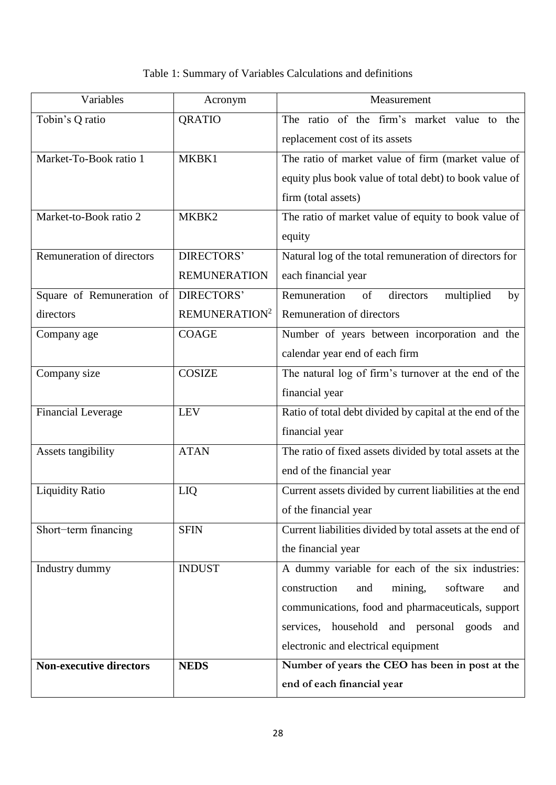# Table 1: Summary of Variables Calculations and definitions

| Variables                      | Acronym                   | Measurement                                               |  |  |
|--------------------------------|---------------------------|-----------------------------------------------------------|--|--|
| Tobin's Q ratio                | QRATIO                    | The ratio of the firm's market value to the               |  |  |
|                                |                           | replacement cost of its assets                            |  |  |
| Market-To-Book ratio 1         | MKBK1                     | The ratio of market value of firm (market value of        |  |  |
|                                |                           | equity plus book value of total debt) to book value of    |  |  |
|                                |                           | firm (total assets)                                       |  |  |
| Market-to-Book ratio 2         | MKBK2                     | The ratio of market value of equity to book value of      |  |  |
|                                |                           | equity                                                    |  |  |
| Remuneration of directors      | <b>DIRECTORS'</b>         | Natural log of the total remuneration of directors for    |  |  |
|                                | <b>REMUNERATION</b>       | each financial year                                       |  |  |
| Square of Remuneration of      | DIRECTORS'                | Remuneration<br>multiplied<br>directors<br>of<br>by       |  |  |
| directors                      | REMUNERATION <sup>2</sup> | Remuneration of directors                                 |  |  |
| Company age                    | <b>COAGE</b>              | Number of years between incorporation and the             |  |  |
|                                |                           | calendar year end of each firm                            |  |  |
| Company size                   | <b>COSIZE</b>             | The natural log of firm's turnover at the end of the      |  |  |
|                                |                           | financial year                                            |  |  |
| <b>Financial Leverage</b>      | <b>LEV</b>                | Ratio of total debt divided by capital at the end of the  |  |  |
|                                |                           | financial year                                            |  |  |
| Assets tangibility             | <b>ATAN</b>               | The ratio of fixed assets divided by total assets at the  |  |  |
|                                |                           | end of the financial year                                 |  |  |
| <b>Liquidity Ratio</b>         | LIQ                       | Current assets divided by current liabilities at the end  |  |  |
|                                |                           | of the financial year                                     |  |  |
| Short-term financing           | <b>SFIN</b>               | Current liabilities divided by total assets at the end of |  |  |
|                                |                           | the financial year                                        |  |  |
| Industry dummy                 | <b>INDUST</b>             | A dummy variable for each of the six industries:          |  |  |
|                                |                           | construction<br>mining,<br>software<br>and<br>and         |  |  |
|                                |                           | communications, food and pharmaceuticals, support         |  |  |
|                                |                           | services, household and personal goods<br>and             |  |  |
|                                |                           | electronic and electrical equipment                       |  |  |
| <b>Non-executive directors</b> | <b>NEDS</b>               | Number of years the CEO has been in post at the           |  |  |
|                                |                           | end of each financial year                                |  |  |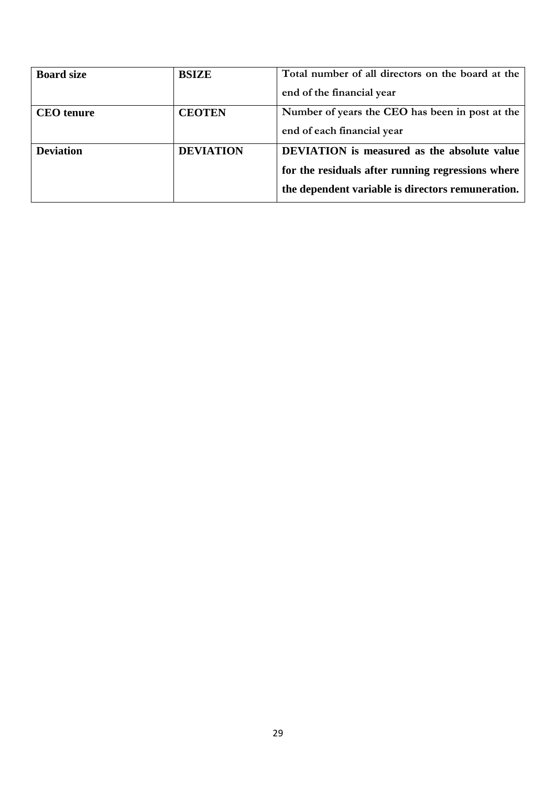| <b>Board size</b> | <b>BSIZE</b>     | Total number of all directors on the board at the  |  |
|-------------------|------------------|----------------------------------------------------|--|
|                   |                  | end of the financial year                          |  |
| <b>CEO</b> tenure | <b>CEOTEN</b>    | Number of years the CEO has been in post at the    |  |
|                   |                  | end of each financial year                         |  |
| <b>Deviation</b>  | <b>DEVIATION</b> | <b>DEVIATION</b> is measured as the absolute value |  |
|                   |                  | for the residuals after running regressions where  |  |
|                   |                  | the dependent variable is directors remuneration.  |  |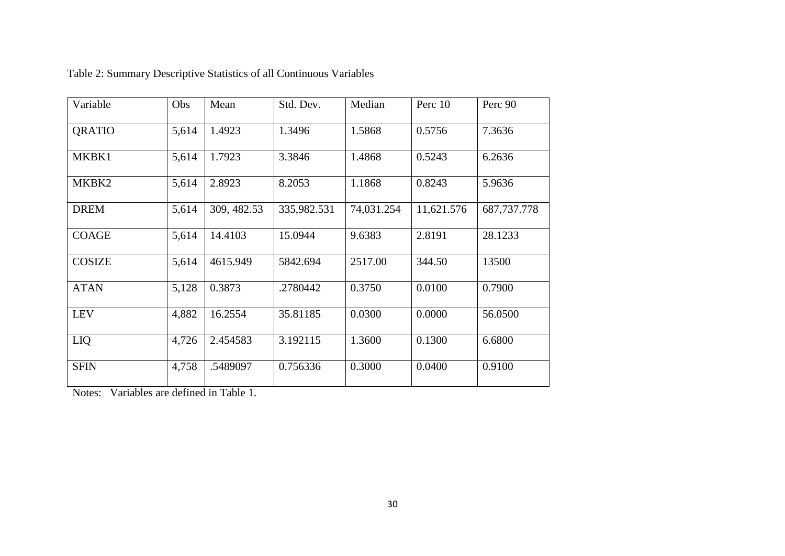| Variable      | Obs   | Mean        | Std. Dev.   | Median     | Perc 10    | Perc 90       |
|---------------|-------|-------------|-------------|------------|------------|---------------|
| <b>QRATIO</b> | 5,614 | 1.4923      | 1.3496      | 1.5868     | 0.5756     | 7.3636        |
| MKBK1         | 5,614 | 1.7923      | 3.3846      | 1.4868     | 0.5243     | 6.2636        |
| MKBK2         | 5,614 | 2.8923      | 8.2053      | 1.1868     | 0.8243     | 5.9636        |
| <b>DREM</b>   | 5,614 | 309, 482.53 | 335,982.531 | 74,031.254 | 11,621.576 | 687, 737. 778 |
| <b>COAGE</b>  | 5,614 | 14.4103     | 15.0944     | 9.6383     | 2.8191     | 28.1233       |
| <b>COSIZE</b> | 5,614 | 4615.949    | 5842.694    | 2517.00    | 344.50     | 13500         |
| <b>ATAN</b>   | 5,128 | 0.3873      | .2780442    | 0.3750     | 0.0100     | 0.7900        |
| <b>LEV</b>    | 4,882 | 16.2554     | 35.81185    | 0.0300     | 0.0000     | 56.0500       |
| LIQ           | 4,726 | 2.454583    | 3.192115    | 1.3600     | 0.1300     | 6.6800        |
| <b>SFIN</b>   | 4,758 | .5489097    | 0.756336    | 0.3000     | 0.0400     | 0.9100        |

# Table 2: Summary Descriptive Statistics of all Continuous Variables

Notes: Variables are defined in Table 1.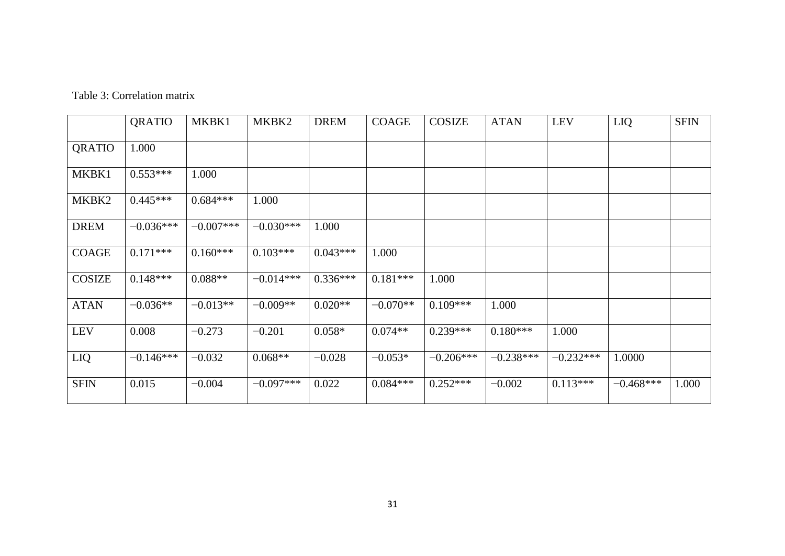| Table 3: Correlation matrix |  |
|-----------------------------|--|
|                             |  |

|               | QRATIO      | MKBK1       | MKBK2       | <b>DREM</b> | <b>COAGE</b> | <b>COSIZE</b> | <b>ATAN</b> | <b>LEV</b>  | LIQ         | <b>SFIN</b> |
|---------------|-------------|-------------|-------------|-------------|--------------|---------------|-------------|-------------|-------------|-------------|
| QRATIO        | 1.000       |             |             |             |              |               |             |             |             |             |
| MKBK1         | $0.553***$  | 1.000       |             |             |              |               |             |             |             |             |
| MKBK2         | $0.445***$  | $0.684***$  | 1.000       |             |              |               |             |             |             |             |
| <b>DREM</b>   | $-0.036***$ | $-0.007***$ | $-0.030***$ | 1.000       |              |               |             |             |             |             |
| <b>COAGE</b>  | $0.171***$  | $0.160***$  | $0.103***$  | $0.043***$  | 1.000        |               |             |             |             |             |
| <b>COSIZE</b> | $0.148***$  | $0.088**$   | $-0.014***$ | $0.336***$  | $0.181***$   | 1.000         |             |             |             |             |
| <b>ATAN</b>   | $-0.036**$  | $-0.013**$  | $-0.009**$  | $0.020**$   | $-0.070**$   | $0.109***$    | 1.000       |             |             |             |
| <b>LEV</b>    | 0.008       | $-0.273$    | $-0.201$    | $0.058*$    | $0.074**$    | $0.239***$    | $0.180***$  | 1.000       |             |             |
| LIQ           | $-0.146***$ | $-0.032$    | $0.068**$   | $-0.028$    | $-0.053*$    | $-0.206***$   | $-0.238***$ | $-0.232***$ | 1.0000      |             |
| <b>SFIN</b>   | 0.015       | $-0.004$    | $-0.097***$ | 0.022       | $0.084***$   | $0.252***$    | $-0.002$    | $0.113***$  | $-0.468***$ | 1.000       |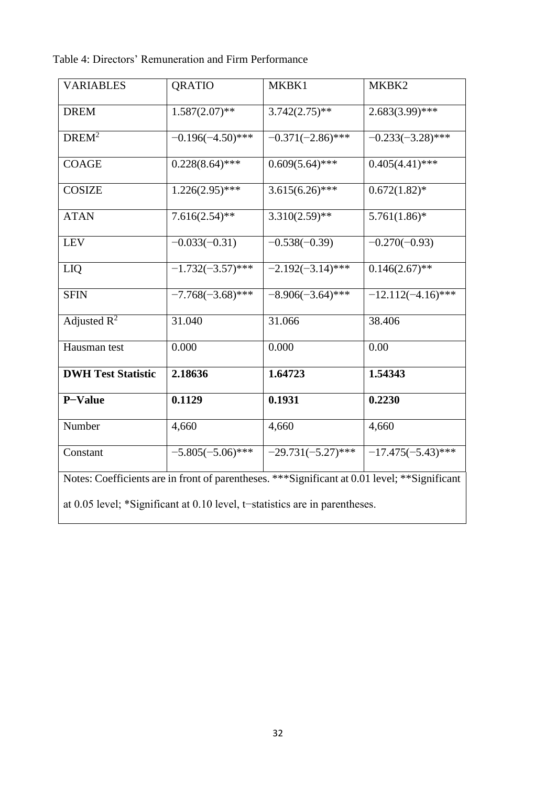| Table 4: Directors' Remuneration and Firm Performance |  |  |  |
|-------------------------------------------------------|--|--|--|
|-------------------------------------------------------|--|--|--|

| <b>VARIABLES</b>                                                                                                                                                              | <b>QRATIO</b>       | MKBK1                | MKBK2                |
|-------------------------------------------------------------------------------------------------------------------------------------------------------------------------------|---------------------|----------------------|----------------------|
| <b>DREM</b>                                                                                                                                                                   | $1.587(2.07)$ **    | $3.742(2.75)$ **     | $2.683(3.99)$ ***    |
| DREM <sup>2</sup>                                                                                                                                                             | $-0.196(-4.50)$ *** | $-0.371(-2.86)$ ***  | $-0.233(-3.28)$ ***  |
| <b>COAGE</b>                                                                                                                                                                  | $0.228(8.64)$ ***   | $0.609(5.64)$ ***    | $0.405(4.41)$ ***    |
| <b>COSIZE</b>                                                                                                                                                                 | $1.226(2.95)$ ***   | $3.615(6.26)$ ***    | $0.672(1.82)^*$      |
| <b>ATAN</b>                                                                                                                                                                   | $7.616(2.54)*$      | $3.310(2.59)$ **     | $5.761(1.86)$ *      |
| LEV                                                                                                                                                                           | $-0.033(-0.31)$     | $-0.538(-0.39)$      | $-0.270(-0.93)$      |
| LIQ                                                                                                                                                                           | $-1.732(-3.57)$ *** | $-2.192(-3.14)$ ***  | $0.146(2.67)$ **     |
| <b>SFIN</b>                                                                                                                                                                   | $-7.768(-3.68)$ *** | $-8.906(-3.64)$ ***  | $-12.112(-4.16)$ *** |
| Adjusted $R^2$                                                                                                                                                                | 31.040              | 31.066               | 38.406               |
| Hausman test                                                                                                                                                                  | 0.000               | 0.000                | 0.00                 |
| <b>DWH Test Statistic</b>                                                                                                                                                     | 2.18636             | 1.64723              | 1.54343              |
| P-Value                                                                                                                                                                       | 0.1129              | 0.1931               | 0.2230               |
| Number                                                                                                                                                                        | 4,660               | 4,660                | 4,660                |
| Constant                                                                                                                                                                      | $-5.805(-5.06)$ *** | $-29.731(-5.27)$ *** | $-17.475(-5.43)$ *** |
| Notes: Coefficients are in front of parentheses. *** Significant at 0.01 level; ** Significant<br>at 0.05 level; *Significant at 0.10 level, t-statistics are in parentheses. |                     |                      |                      |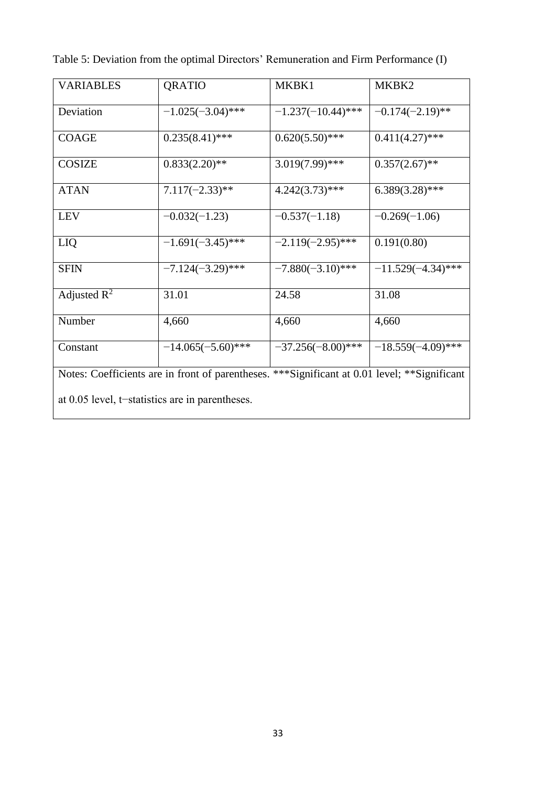| <b>VARIABLES</b>                                                                               | <b>QRATIO</b>        | MKBK1                | MKBK2                |  |
|------------------------------------------------------------------------------------------------|----------------------|----------------------|----------------------|--|
| Deviation                                                                                      | $-1.025(-3.04)$ ***  | $-1.237(-10.44)$ *** | $-0.174(-2.19)$ **   |  |
| <b>COAGE</b>                                                                                   | $0.235(8.41)$ ***    | $0.620(5.50)$ ***    | $0.411(4.27)$ ***    |  |
| <b>COSIZE</b>                                                                                  | $0.833(2.20)**$      | $3.019(7.99)$ ***    | $0.357(2.67)$ **     |  |
| <b>ATAN</b>                                                                                    | $7.117(-2.33)**$     | $4.242(3.73)$ ***    | $6.389(3.28)$ ***    |  |
| <b>LEV</b>                                                                                     | $-0.032(-1.23)$      | $-0.537(-1.18)$      | $-0.269(-1.06)$      |  |
| LIQ                                                                                            | $-1.691(-3.45)$ ***  | $-2.119(-2.95)$ ***  | 0.191(0.80)          |  |
| <b>SFIN</b>                                                                                    | $-7.124(-3.29)$ ***  | $-7.880(-3.10)***$   | $-11.529(-4.34)$ *** |  |
| Adjusted $R^2$                                                                                 | 31.01                | 24.58                | 31.08                |  |
| Number                                                                                         | 4,660                | 4,660                | 4,660                |  |
| Constant                                                                                       | $-14.065(-5.60)$ *** | $-37.256(-8.00)***$  | $-18.559(-4.09)$ *** |  |
| Notes: Coefficients are in front of parentheses. *** Significant at 0.01 level; ** Significant |                      |                      |                      |  |
| at 0.05 level, t-statistics are in parentheses.                                                |                      |                      |                      |  |

Table 5: Deviation from the optimal Directors' Remuneration and Firm Performance (I)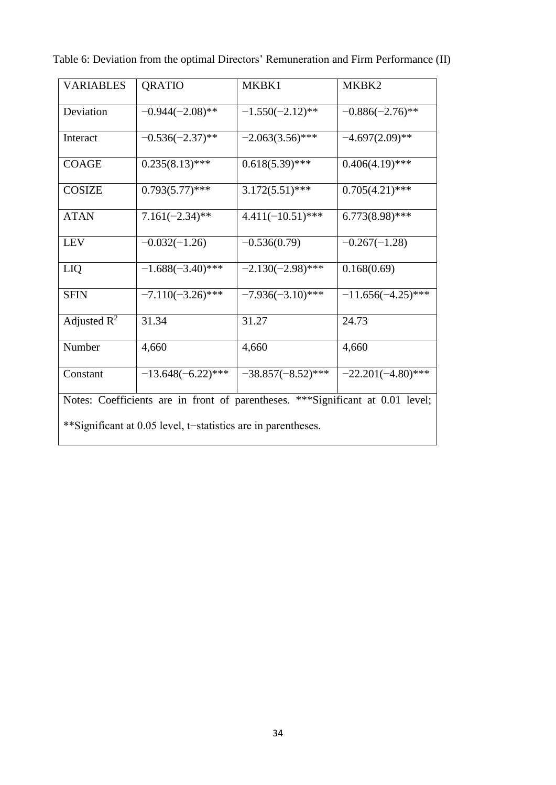| <b>VARIABLES</b>                                                                | <b>QRATIO</b>        | MKBK1                | MKBK2                |  |
|---------------------------------------------------------------------------------|----------------------|----------------------|----------------------|--|
| Deviation                                                                       | $-0.944(-2.08)$ **   | $-1.550(-2.12)$ **   | $-0.886(-2.76)$ **   |  |
| Interact                                                                        | $-0.536(-2.37)$ **   | $-2.063(3.56)$ ***   | $-4.697(2.09)**$     |  |
| <b>COAGE</b>                                                                    | $0.235(8.13)$ ***    | $0.618(5.39)$ ***    | $0.406(4.19)$ ***    |  |
| <b>COSIZE</b>                                                                   | $0.793(5.77)$ ***    | $3.172(5.51)$ ***    | $0.705(4.21)$ ***    |  |
| <b>ATAN</b>                                                                     | $7.161(-2.34)$ **    | $4.411(-10.51)$ ***  | $6.773(8.98)$ ***    |  |
| <b>LEV</b>                                                                      | $-0.032(-1.26)$      | $-0.536(0.79)$       | $-0.267(-1.28)$      |  |
| LIQ                                                                             | $-1.688(-3.40)$ ***  | $-2.130(-2.98)$ ***  | 0.168(0.69)          |  |
| <b>SFIN</b>                                                                     | $-7.110(-3.26)$ ***  | $-7.936(-3.10)$ ***  | $-11.656(-4.25)$ *** |  |
| Adjusted $R^2$                                                                  | 31.34                | 31.27                | 24.73                |  |
| Number                                                                          | 4,660                | 4,660                | 4,660                |  |
| Constant                                                                        | $-13.648(-6.22)$ *** | $-38.857(-8.52)$ *** | $-22.201(-4.80)$ *** |  |
| Notes: Coefficients are in front of parentheses. *** Significant at 0.01 level; |                      |                      |                      |  |
| **Significant at 0.05 level, t-statistics are in parentheses.                   |                      |                      |                      |  |

Table 6: Deviation from the optimal Directors' Remuneration and Firm Performance (II)